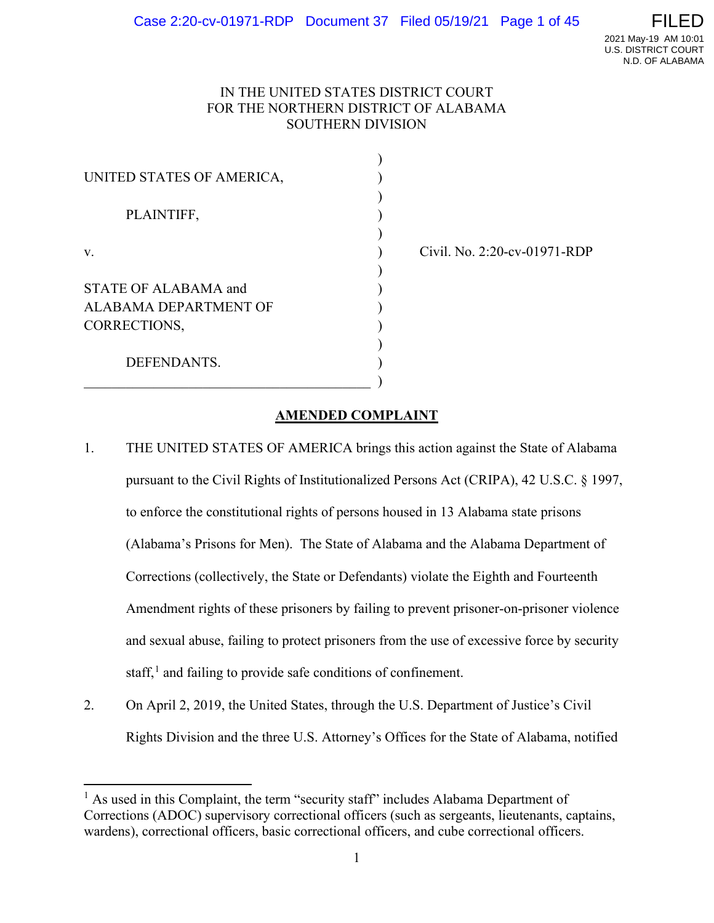## IN THE UNITED STATES DISTRICT COURT FOR THE NORTHERN DISTRICT OF ALABAMA SOUTHERN DIVISION

)

)

)

)

| UNITED STATES OF AMERICA,    |  |
|------------------------------|--|
| PLAINTIFF,                   |  |
| V.                           |  |
| <b>STATE OF ALABAMA and</b>  |  |
| <b>ALABAMA DEPARTMENT OF</b> |  |
| CORRECTIONS,                 |  |
| DEFENDANTS.                  |  |
|                              |  |

v. ) Civil. No. 2:20-cv-01971-RDP

# **AMENDED COMPLAINT**

- 1. THE UNITED STATES OF AMERICA brings this action against the State of Alabama pursuant to the Civil Rights of Institutionalized Persons Act (CRIPA), 42 U.S.C. § 1997, to enforce the constitutional rights of persons housed in 13 Alabama state prisons (Alabama's Prisons for Men). The State of Alabama and the Alabama Department of Corrections (collectively, the State or Defendants) violate the Eighth and Fourteenth Amendment rights of these prisoners by failing to prevent prisoner-on-prisoner violence and sexual abuse, failing to protect prisoners from the use of excessive force by security staff,<sup>[1](#page-31-0)</sup> and failing to provide safe conditions of confinement.
- 2. On April 2, 2019, the United States, through the U.S. Department of Justice's Civil Rights Division and the three U.S. Attorney's Offices for the State of Alabama, notified

 $<sup>1</sup>$  As used in this Complaint, the term "security staff" includes Alabama Department of</sup> Corrections (ADOC) supervisory correctional officers (such as sergeants, lieutenants, captains, wardens), correctional officers, basic correctional officers, and cube correctional officers.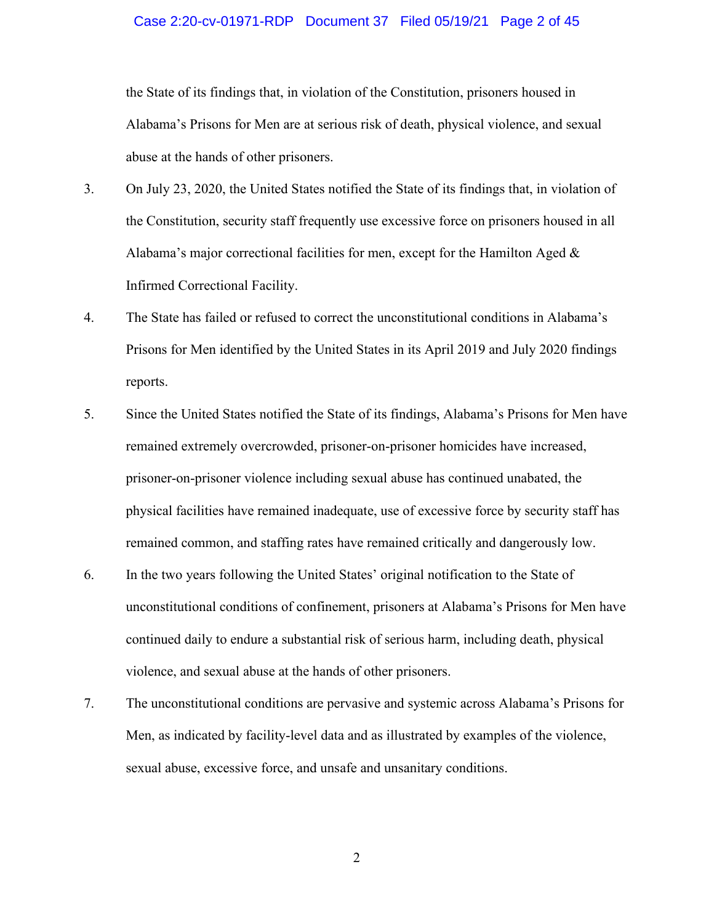# Case 2:20-cv-01971-RDP Document 37 Filed 05/19/21 Page 2 of 45

the State of its findings that, in violation of the Constitution, prisoners housed in Alabama's Prisons for Men are at serious risk of death, physical violence, and sexual abuse at the hands of other prisoners.

- 3. On July 23, 2020, the United States notified the State of its findings that, in violation of the Constitution, security staff frequently use excessive force on prisoners housed in all Alabama's major correctional facilities for men, except for the Hamilton Aged & Infirmed Correctional Facility.
- 4. The State has failed or refused to correct the unconstitutional conditions in Alabama's Prisons for Men identified by the United States in its April 2019 and July 2020 findings reports.
- 5. Since the United States notified the State of its findings, Alabama's Prisons for Men have remained extremely overcrowded, prisoner-on-prisoner homicides have increased, prisoner-on-prisoner violence including sexual abuse has continued unabated, the physical facilities have remained inadequate, use of excessive force by security staff has remained common, and staffing rates have remained critically and dangerously low.
- 6. In the two years following the United States' original notification to the State of unconstitutional conditions of confinement, prisoners at Alabama's Prisons for Men have continued daily to endure a substantial risk of serious harm, including death, physical violence, and sexual abuse at the hands of other prisoners.
- 7. The unconstitutional conditions are pervasive and systemic across Alabama's Prisons for Men, as indicated by facility-level data and as illustrated by examples of the violence, sexual abuse, excessive force, and unsafe and unsanitary conditions.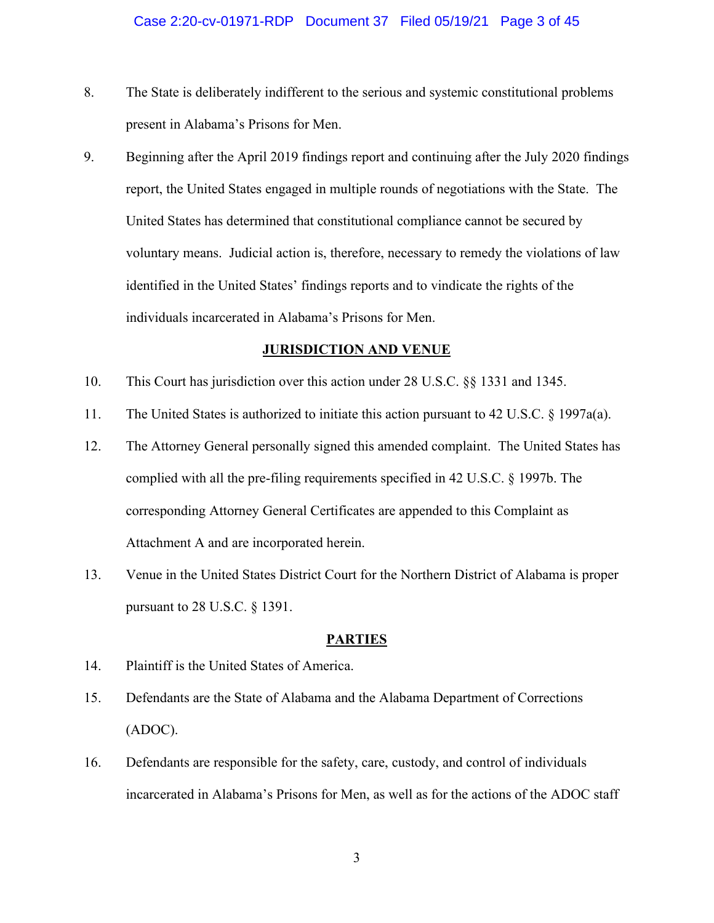- 8. The State is deliberately indifferent to the serious and systemic constitutional problems present in Alabama's Prisons for Men.
- 9. Beginning after the April 2019 findings report and continuing after the July 2020 findings report, the United States engaged in multiple rounds of negotiations with the State. The United States has determined that constitutional compliance cannot be secured by voluntary means. Judicial action is, therefore, necessary to remedy the violations of law identified in the United States' findings reports and to vindicate the rights of the individuals incarcerated in Alabama's Prisons for Men.

#### **JURISDICTION AND VENUE**

- 10. This Court has jurisdiction over this action under 28 U.S.C. §§ 1331 and 1345.
- 11. The United States is authorized to initiate this action pursuant to 42 U.S.C. § 1997a(a).
- 12. The Attorney General personally signed this amended complaint. The United States has complied with all the pre-filing requirements specified in 42 U.S.C. § 1997b. The corresponding Attorney General Certificates are appended to this Complaint as Attachment A and are incorporated herein.
- 13. Venue in the United States District Court for the Northern District of Alabama is proper pursuant to 28 U.S.C. § 1391.

#### **PARTIES**

- 14. Plaintiff is the United States of America.
- 15. Defendants are the State of Alabama and the Alabama Department of Corrections (ADOC).
- 16. Defendants are responsible for the safety, care, custody, and control of individuals incarcerated in Alabama's Prisons for Men, as well as for the actions of the ADOC staff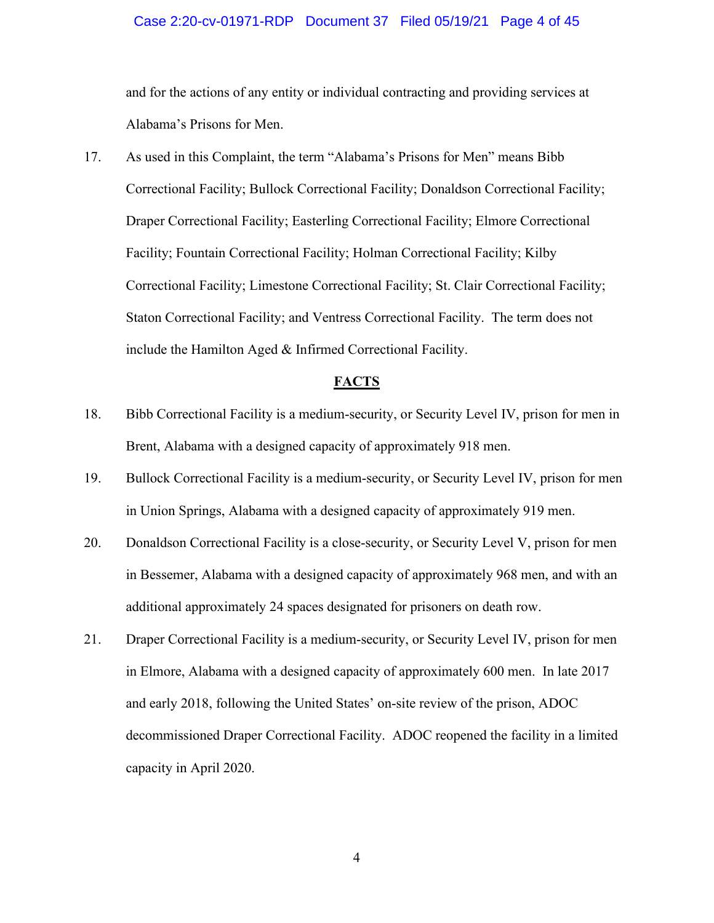#### Case 2:20-cv-01971-RDP Document 37 Filed 05/19/21 Page 4 of 45

and for the actions of any entity or individual contracting and providing services at Alabama's Prisons for Men.

17. As used in this Complaint, the term "Alabama's Prisons for Men" means Bibb Correctional Facility; Bullock Correctional Facility; Donaldson Correctional Facility; Draper Correctional Facility; Easterling Correctional Facility; Elmore Correctional Facility; Fountain Correctional Facility; Holman Correctional Facility; Kilby Correctional Facility; Limestone Correctional Facility; St. Clair Correctional Facility; Staton Correctional Facility; and Ventress Correctional Facility. The term does not include the Hamilton Aged & Infirmed Correctional Facility.

#### **FACTS**

- 18. Bibb Correctional Facility is a medium-security, or Security Level IV, prison for men in Brent, Alabama with a designed capacity of approximately 918 men.
- 19. Bullock Correctional Facility is a medium-security, or Security Level IV, prison for men in Union Springs, Alabama with a designed capacity of approximately 919 men.
- 20. Donaldson Correctional Facility is a close-security, or Security Level V, prison for men in Bessemer, Alabama with a designed capacity of approximately 968 men, and with an additional approximately 24 spaces designated for prisoners on death row.
- 21. Draper Correctional Facility is a medium-security, or Security Level IV, prison for men in Elmore, Alabama with a designed capacity of approximately 600 men. In late 2017 and early 2018, following the United States' on-site review of the prison, ADOC decommissioned Draper Correctional Facility. ADOC reopened the facility in a limited capacity in April 2020.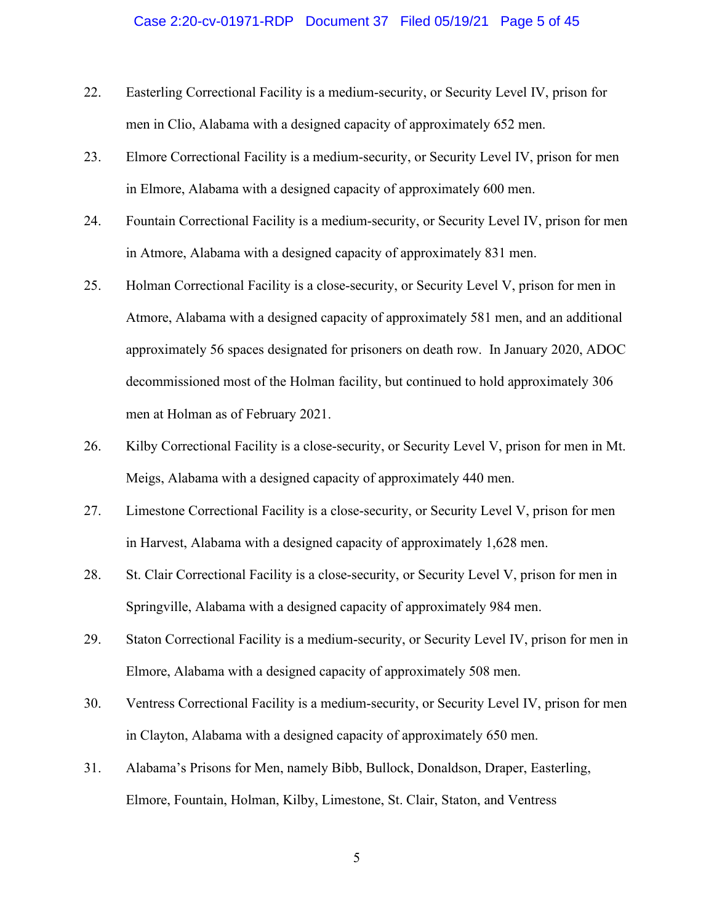#### Case 2:20-cv-01971-RDP Document 37 Filed 05/19/21 Page 5 of 45

- 22. Easterling Correctional Facility is a medium-security, or Security Level IV, prison for men in Clio, Alabama with a designed capacity of approximately 652 men.
- 23. Elmore Correctional Facility is a medium-security, or Security Level IV, prison for men in Elmore, Alabama with a designed capacity of approximately 600 men.
- 24. Fountain Correctional Facility is a medium-security, or Security Level IV, prison for men in Atmore, Alabama with a designed capacity of approximately 831 men.
- 25. Holman Correctional Facility is a close-security, or Security Level V, prison for men in Atmore, Alabama with a designed capacity of approximately 581 men, and an additional approximately 56 spaces designated for prisoners on death row. In January 2020, ADOC decommissioned most of the Holman facility, but continued to hold approximately 306 men at Holman as of February 2021.
- 26. Kilby Correctional Facility is a close-security, or Security Level V, prison for men in Mt. Meigs, Alabama with a designed capacity of approximately 440 men.
- 27. Limestone Correctional Facility is a close-security, or Security Level V, prison for men in Harvest, Alabama with a designed capacity of approximately 1,628 men.
- 28. St. Clair Correctional Facility is a close-security, or Security Level V, prison for men in Springville, Alabama with a designed capacity of approximately 984 men.
- 29. Staton Correctional Facility is a medium-security, or Security Level IV, prison for men in Elmore, Alabama with a designed capacity of approximately 508 men.
- 30. Ventress Correctional Facility is a medium-security, or Security Level IV, prison for men in Clayton, Alabama with a designed capacity of approximately 650 men.
- 31. Alabama's Prisons for Men, namely Bibb, Bullock, Donaldson, Draper, Easterling, Elmore, Fountain, Holman, Kilby, Limestone, St. Clair, Staton, and Ventress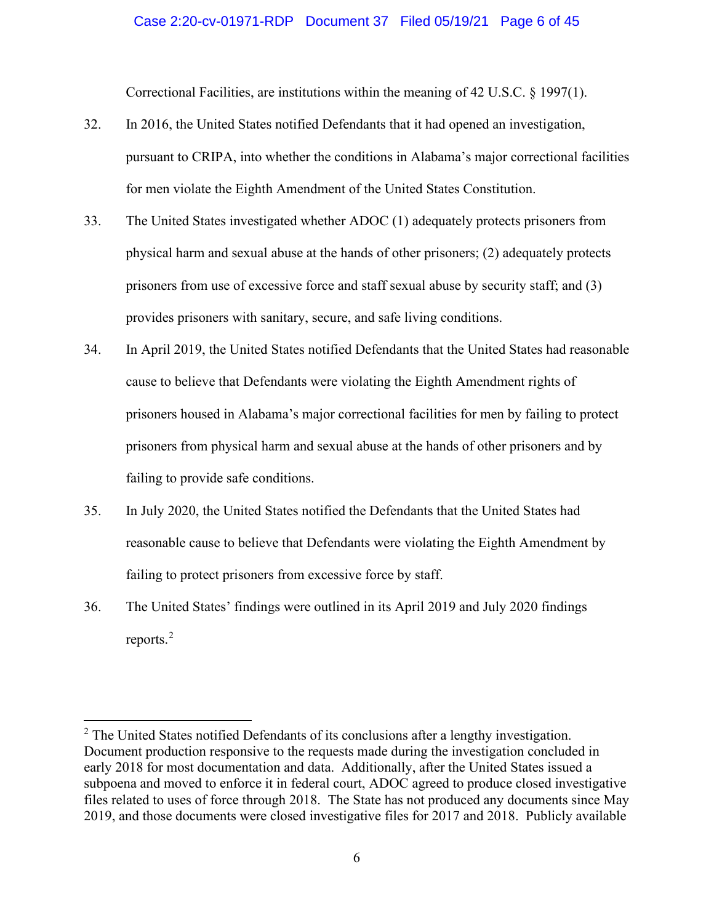#### Case 2:20-cv-01971-RDP Document 37 Filed 05/19/21 Page 6 of 45

Correctional Facilities, are institutions within the meaning of 42 U.S.C. § 1997(1).

- 32. In 2016, the United States notified Defendants that it had opened an investigation, pursuant to CRIPA, into whether the conditions in Alabama's major correctional facilities for men violate the Eighth Amendment of the United States Constitution.
- 33. The United States investigated whether ADOC (1) adequately protects prisoners from physical harm and sexual abuse at the hands of other prisoners; (2) adequately protects prisoners from use of excessive force and staff sexual abuse by security staff; and (3) provides prisoners with sanitary, secure, and safe living conditions.
- 34. In April 2019, the United States notified Defendants that the United States had reasonable cause to believe that Defendants were violating the Eighth Amendment rights of prisoners housed in Alabama's major correctional facilities for men by failing to protect prisoners from physical harm and sexual abuse at the hands of other prisoners and by failing to provide safe conditions.
- 35. In July 2020, the United States notified the Defendants that the United States had reasonable cause to believe that Defendants were violating the Eighth Amendment by failing to protect prisoners from excessive force by staff.
- 36. The United States' findings were outlined in its April 2019 and July 2020 findings reports.[2](#page-31-0)

<sup>&</sup>lt;sup>2</sup> The United States notified Defendants of its conclusions after a lengthy investigation. Document production responsive to the requests made during the investigation concluded in early 2018 for most documentation and data. Additionally, after the United States issued a subpoena and moved to enforce it in federal court, ADOC agreed to produce closed investigative files related to uses of force through 2018. The State has not produced any documents since May 2019, and those documents were closed investigative files for 2017 and 2018. Publicly available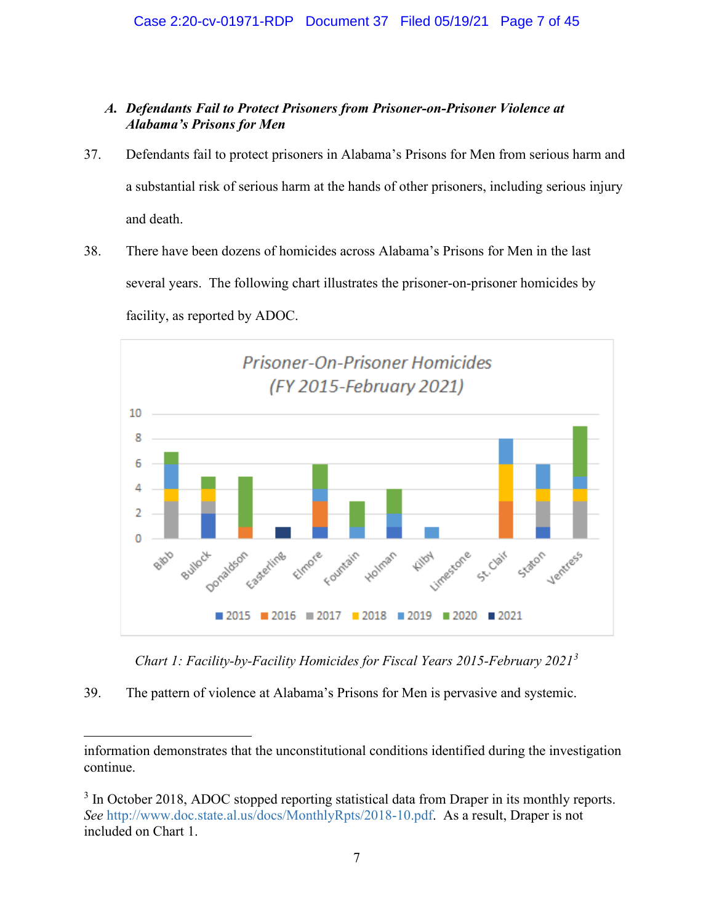## *A. Defendants Fail to Protect Prisoners from Prisoner-on-Prisoner Violence at Alabama's Prisons for Men*

- 37. Defendants fail to protect prisoners in Alabama's Prisons for Men from serious harm and a substantial risk of serious harm at the hands of other prisoners, including serious injury and death.
- 38. There have been dozens of homicides across Alabama's Prisons for Men in the last several years. The following chart illustrates the prisoner-on-prisoner homicides by facility, as reported by ADOC.



*Chart 1: Facility-by-Facility Homicides for Fiscal Years 2015-February 2021[3](#page-31-0)*

39. The pattern of violence at Alabama's Prisons for Men is pervasive and systemic.

information demonstrates that the unconstitutional conditions identified during the investigation continue.

<sup>&</sup>lt;sup>3</sup> In October 2018, ADOC stopped reporting statistical data from Draper in its monthly reports. *See* [http://www.doc.state.al.us/docs/MonthlyRpts/2018-10.pdf.](http://www.doc.state.al.us/docs/MonthlyRpts/2018-10.pdf) As a result, Draper is not included on Chart 1.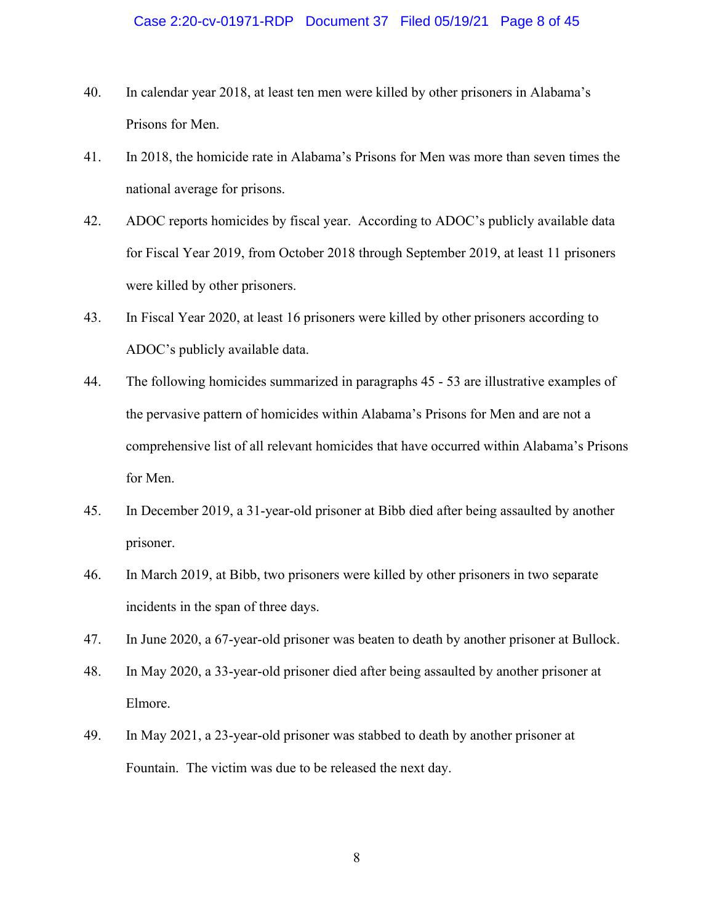- 40. In calendar year 2018, at least ten men were killed by other prisoners in Alabama's Prisons for Men.
- 41. In 2018, the homicide rate in Alabama's Prisons for Men was more than seven times the national average for prisons.
- 42. ADOC reports homicides by fiscal year. According to ADOC's publicly available data for Fiscal Year 2019, from October 2018 through September 2019, at least 11 prisoners were killed by other prisoners.
- 43. In Fiscal Year 2020, at least 16 prisoners were killed by other prisoners according to ADOC's publicly available data.
- 44. The following homicides summarized in paragraphs 45 53 are illustrative examples of the pervasive pattern of homicides within Alabama's Prisons for Men and are not a comprehensive list of all relevant homicides that have occurred within Alabama's Prisons for Men.
- 45. In December 2019, a 31-year-old prisoner at Bibb died after being assaulted by another prisoner.
- 46. In March 2019, at Bibb, two prisoners were killed by other prisoners in two separate incidents in the span of three days.
- 47. In June 2020, a 67-year-old prisoner was beaten to death by another prisoner at Bullock.
- 48. In May 2020, a 33-year-old prisoner died after being assaulted by another prisoner at Elmore.
- 49. In May 2021, a 23-year-old prisoner was stabbed to death by another prisoner at Fountain. The victim was due to be released the next day.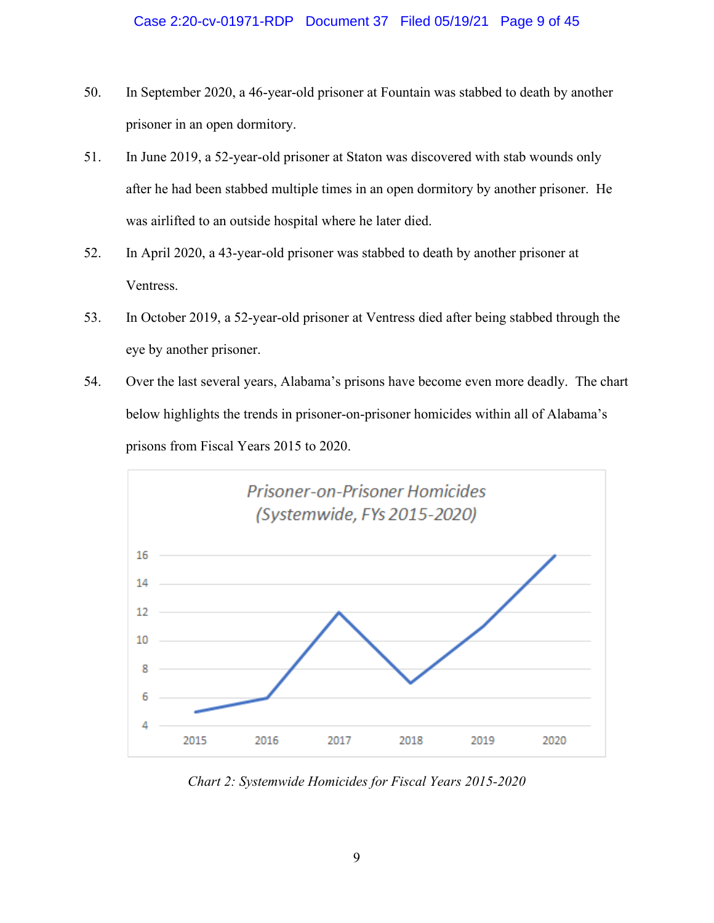- 50. In September 2020, a 46-year-old prisoner at Fountain was stabbed to death by another prisoner in an open dormitory.
- 51. In June 2019, a 52-year-old prisoner at Staton was discovered with stab wounds only after he had been stabbed multiple times in an open dormitory by another prisoner. He was airlifted to an outside hospital where he later died.
- 52. In April 2020, a 43-year-old prisoner was stabbed to death by another prisoner at Ventress.
- 53. In October 2019, a 52-year-old prisoner at Ventress died after being stabbed through the eye by another prisoner.
- 54. Over the last several years, Alabama's prisons have become even more deadly. The chart below highlights the trends in prisoner-on-prisoner homicides within all of Alabama's prisons from Fiscal Years 2015 to 2020.



*Chart 2: Systemwide Homicides for Fiscal Years 2015-2020*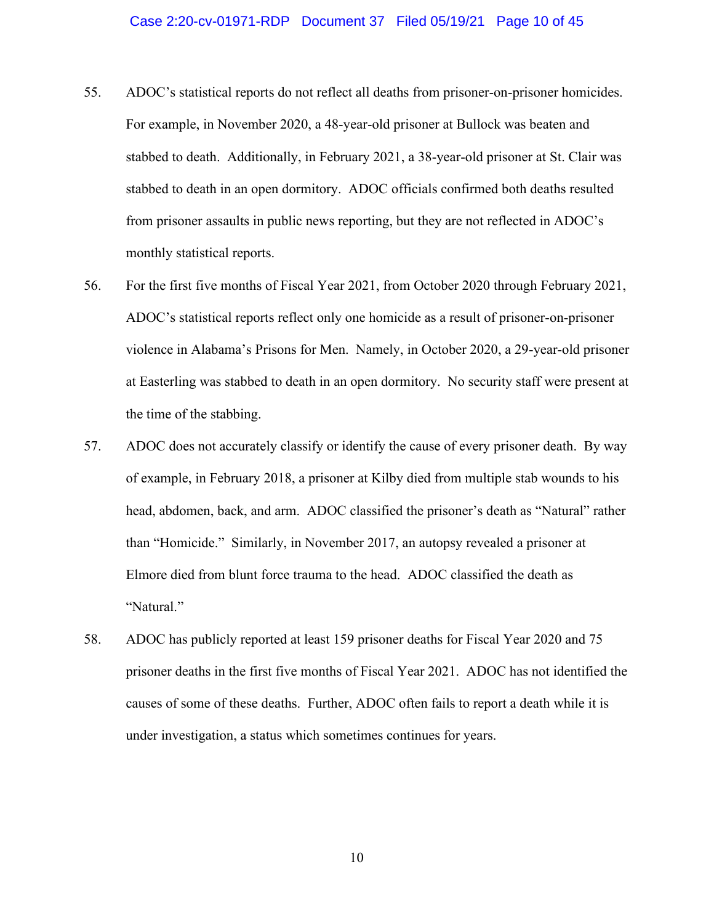#### Case 2:20-cv-01971-RDP Document 37 Filed 05/19/21 Page 10 of 45

- 55. ADOC's statistical reports do not reflect all deaths from prisoner-on-prisoner homicides. For example, in November 2020, a 48-year-old prisoner at Bullock was beaten and stabbed to death. Additionally, in February 2021, a 38-year-old prisoner at St. Clair was stabbed to death in an open dormitory. ADOC officials confirmed both deaths resulted from prisoner assaults in public news reporting, but they are not reflected in ADOC's monthly statistical reports.
- 56. For the first five months of Fiscal Year 2021, from October 2020 through February 2021, ADOC's statistical reports reflect only one homicide as a result of prisoner-on-prisoner violence in Alabama's Prisons for Men. Namely, in October 2020, a 29-year-old prisoner at Easterling was stabbed to death in an open dormitory. No security staff were present at the time of the stabbing.
- 57. ADOC does not accurately classify or identify the cause of every prisoner death. By way of example, in February 2018, a prisoner at Kilby died from multiple stab wounds to his head, abdomen, back, and arm. ADOC classified the prisoner's death as "Natural" rather than "Homicide." Similarly, in November 2017, an autopsy revealed a prisoner at Elmore died from blunt force trauma to the head. ADOC classified the death as "Natural."
- 58. ADOC has publicly reported at least 159 prisoner deaths for Fiscal Year 2020 and 75 prisoner deaths in the first five months of Fiscal Year 2021. ADOC has not identified the causes of some of these deaths. Further, ADOC often fails to report a death while it is under investigation, a status which sometimes continues for years.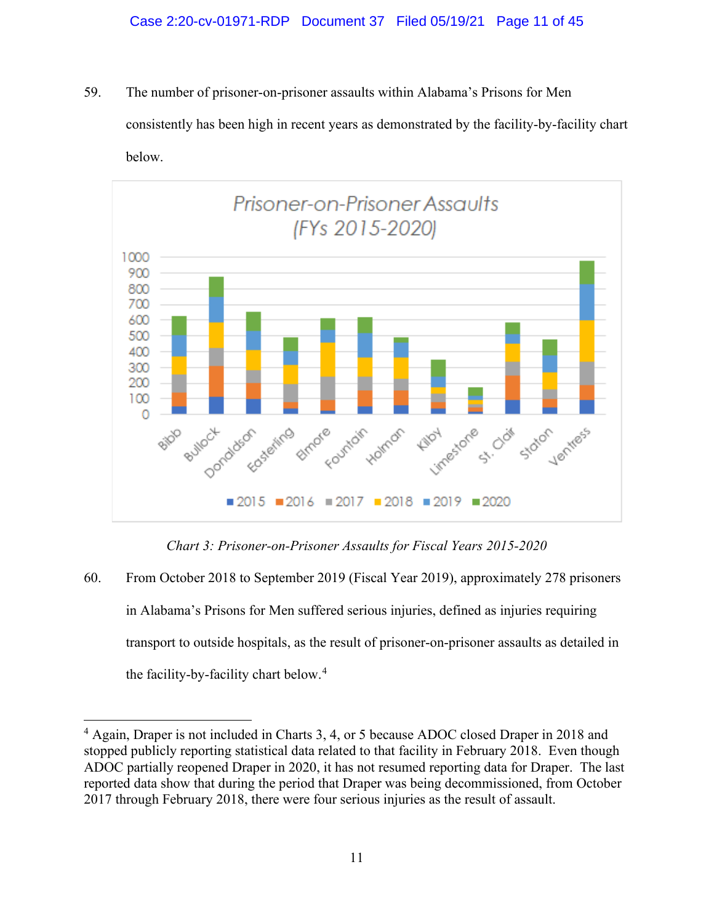59. The number of prisoner-on-prisoner assaults within Alabama's Prisons for Men consistently has been high in recent years as demonstrated by the facility-by-facility chart below.



*Chart 3: Prisoner-on-Prisoner Assaults for Fiscal Years 2015-2020*

60. From October 2018 to September 2019 (Fiscal Year 2019), approximately 278 prisoners in Alabama's Prisons for Men suffered serious injuries, defined as injuries requiring transport to outside hospitals, as the result of prisoner-on-prisoner assaults as detailed in the facility-by-facility chart below. [4](#page-31-0)

<sup>&</sup>lt;sup>4</sup> Again, Draper is not included in Charts 3, 4, or 5 because ADOC closed Draper in 2018 and stopped publicly reporting statistical data related to that facility in February 2018. Even though ADOC partially reopened Draper in 2020, it has not resumed reporting data for Draper. The last reported data show that during the period that Draper was being decommissioned, from October 2017 through February 2018, there were four serious injuries as the result of assault.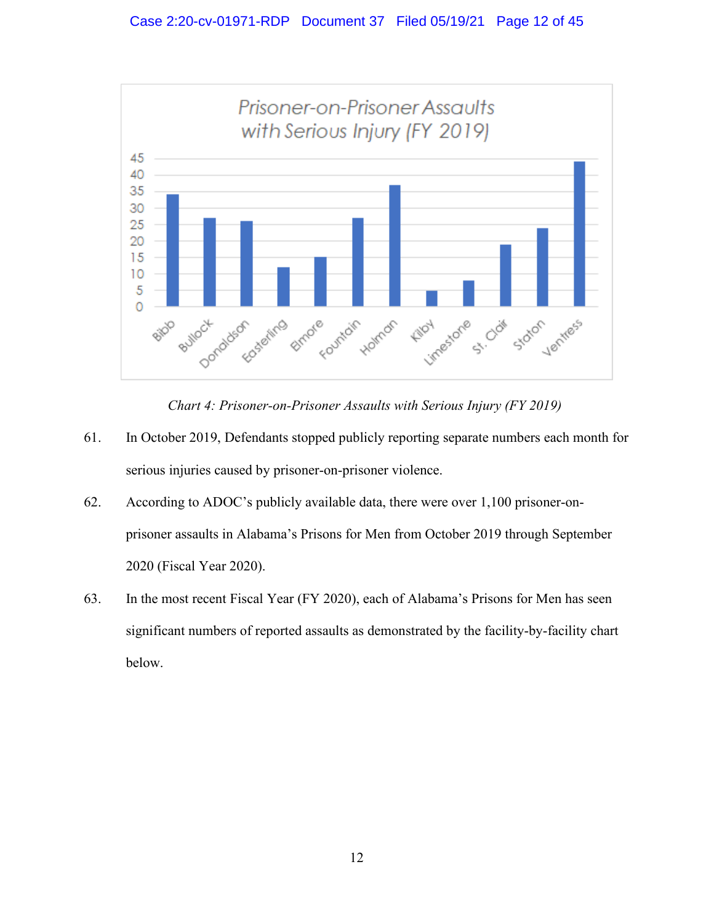

*Chart 4: Prisoner-on-Prisoner Assaults with Serious Injury (FY 2019)*

- 61. In October 2019, Defendants stopped publicly reporting separate numbers each month for serious injuries caused by prisoner-on-prisoner violence.
- 62. According to ADOC's publicly available data, there were over 1,100 prisoner-onprisoner assaults in Alabama's Prisons for Men from October 2019 through September 2020 (Fiscal Year 2020).
- 63. In the most recent Fiscal Year (FY 2020), each of Alabama's Prisons for Men has seen significant numbers of reported assaults as demonstrated by the facility-by-facility chart below.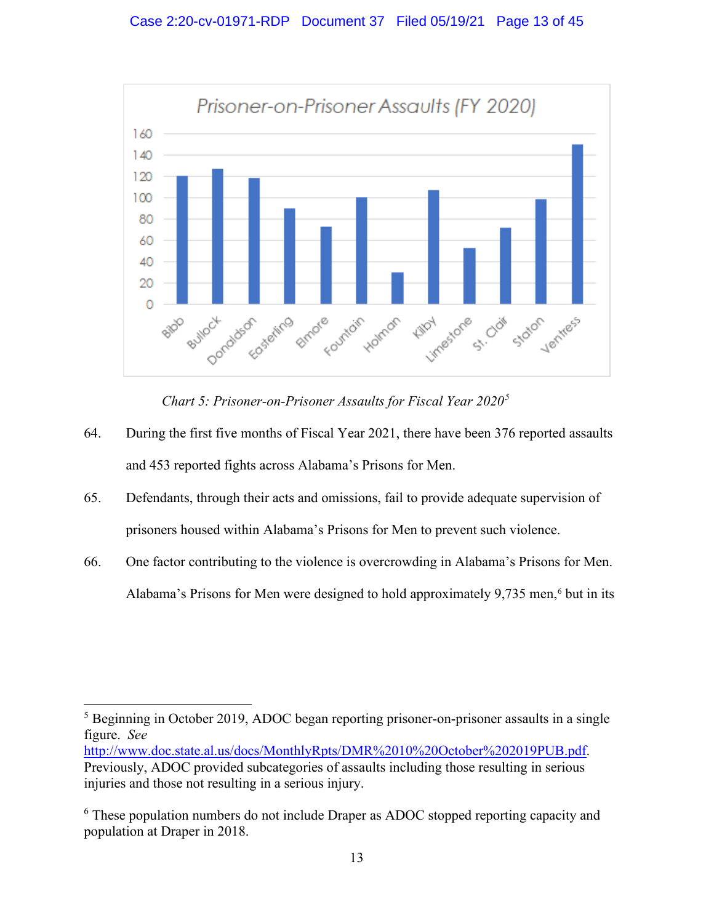

*Chart 5: Prisoner-on-Prisoner Assaults for Fiscal Year 2020[5](#page-31-0)*

- 64. During the first five months of Fiscal Year 2021, there have been 376 reported assaults and 453 reported fights across Alabama's Prisons for Men.
- 65. Defendants, through their acts and omissions, fail to provide adequate supervision of prisoners housed within Alabama's Prisons for Men to prevent such violence.
- 66. One factor contributing to the violence is overcrowding in Alabama's Prisons for Men. Alabama's Prisons for Men were designed to hold approximately 9,735 men, [6](#page-31-0) but in its

<sup>&</sup>lt;sup>5</sup> Beginning in October 2019, ADOC began reporting prisoner-on-prisoner assaults in a single figure. *See*

[http://www.doc.state.al.us/docs/MonthlyRpts/DMR%2010%20October%202019PUB.pdf.](http://www.doc.state.al.us/docs/MonthlyRpts/DMR%2010%20October%202019PUB.pdf) Previously, ADOC provided subcategories of assaults including those resulting in serious injuries and those not resulting in a serious injury.

<sup>&</sup>lt;sup>6</sup> These population numbers do not include Draper as ADOC stopped reporting capacity and population at Draper in 2018.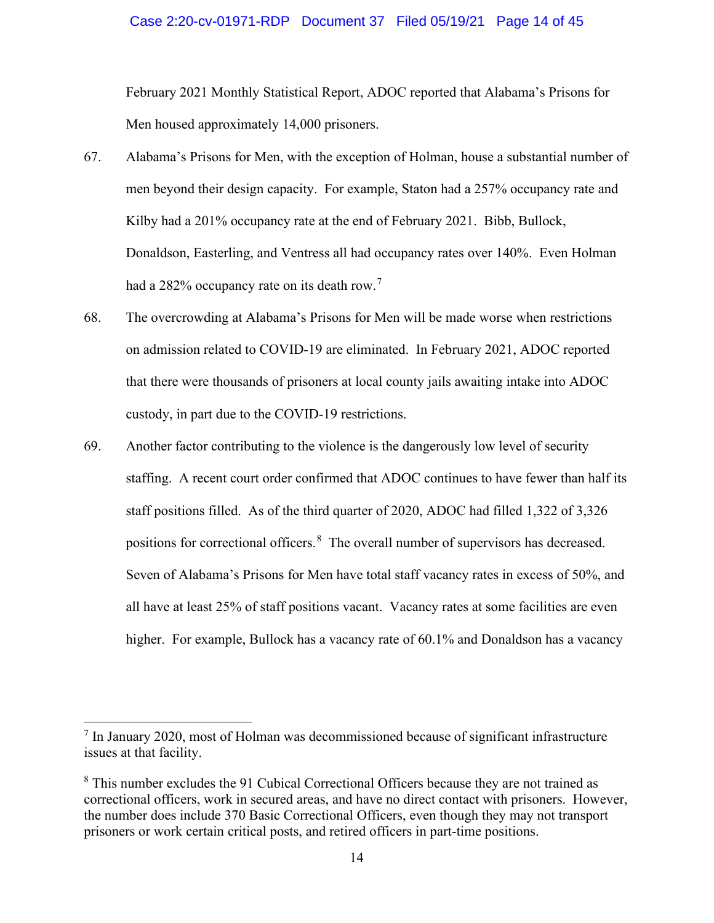#### Case 2:20-cv-01971-RDP Document 37 Filed 05/19/21 Page 14 of 45

February 2021 Monthly Statistical Report, ADOC reported that Alabama's Prisons for Men housed approximately 14,000 prisoners.

- 67. Alabama's Prisons for Men, with the exception of Holman, house a substantial number of men beyond their design capacity. For example, Staton had a 257% occupancy rate and Kilby had a 201% occupancy rate at the end of February 2021. Bibb, Bullock, Donaldson, Easterling, and Ventress all had occupancy rates over 140%. Even Holman had a 282% occupancy rate on its death row.<sup>[7](#page-31-0)</sup>
- 68. The overcrowding at Alabama's Prisons for Men will be made worse when restrictions on admission related to COVID-19 are eliminated. In February 2021, ADOC reported that there were thousands of prisoners at local county jails awaiting intake into ADOC custody, in part due to the COVID-19 restrictions.
- 69. Another factor contributing to the violence is the dangerously low level of security staffing. A recent court order confirmed that ADOC continues to have fewer than half its staff positions filled. As of the third quarter of 2020, ADOC had filled 1,322 of 3,326 positions for correctional officers.[8](#page-31-0) The overall number of supervisors has decreased. Seven of Alabama's Prisons for Men have total staff vacancy rates in excess of 50%, and all have at least 25% of staff positions vacant. Vacancy rates at some facilities are even higher. For example, Bullock has a vacancy rate of 60.1% and Donaldson has a vacancy

 $<sup>7</sup>$  In January 2020, most of Holman was decommissioned because of significant infrastructure</sup> issues at that facility.

<sup>&</sup>lt;sup>8</sup> This number excludes the 91 Cubical Correctional Officers because they are not trained as correctional officers, work in secured areas, and have no direct contact with prisoners. However, the number does include 370 Basic Correctional Officers, even though they may not transport prisoners or work certain critical posts, and retired officers in part-time positions.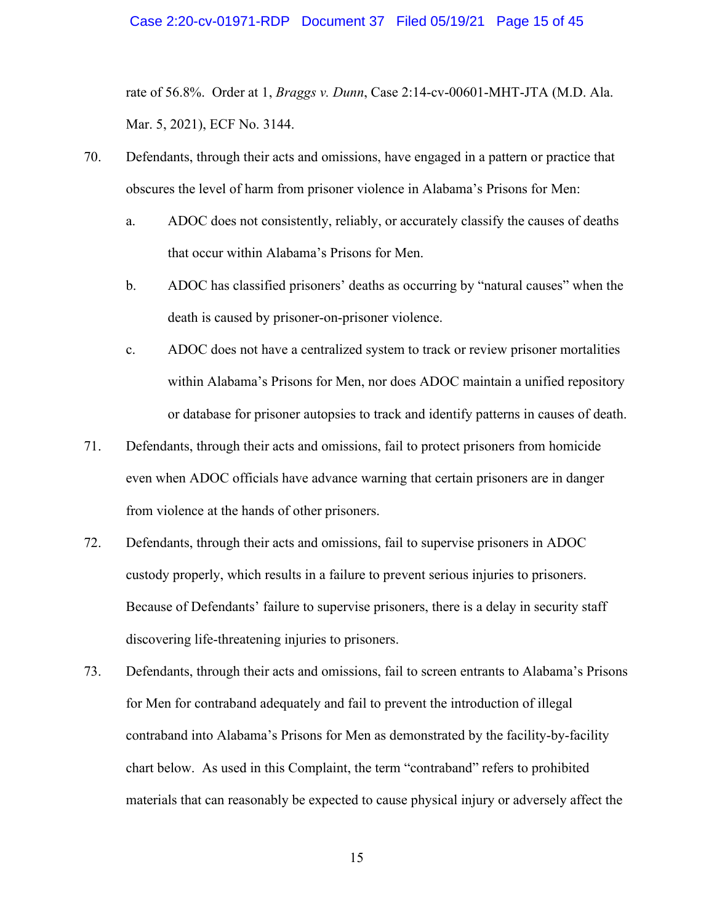#### Case 2:20-cv-01971-RDP Document 37 Filed 05/19/21 Page 15 of 45

rate of 56.8%. Order at 1, *Braggs v. Dunn*, Case 2:14-cv-00601-MHT-JTA (M.D. Ala. Mar. 5, 2021), ECF No. 3144.

- 70. Defendants, through their acts and omissions, have engaged in a pattern or practice that obscures the level of harm from prisoner violence in Alabama's Prisons for Men:
	- a. ADOC does not consistently, reliably, or accurately classify the causes of deaths that occur within Alabama's Prisons for Men.
	- b. ADOC has classified prisoners' deaths as occurring by "natural causes" when the death is caused by prisoner-on-prisoner violence.
	- c. ADOC does not have a centralized system to track or review prisoner mortalities within Alabama's Prisons for Men, nor does ADOC maintain a unified repository or database for prisoner autopsies to track and identify patterns in causes of death.
- 71. Defendants, through their acts and omissions, fail to protect prisoners from homicide even when ADOC officials have advance warning that certain prisoners are in danger from violence at the hands of other prisoners.
- 72. Defendants, through their acts and omissions, fail to supervise prisoners in ADOC custody properly, which results in a failure to prevent serious injuries to prisoners. Because of Defendants' failure to supervise prisoners, there is a delay in security staff discovering life-threatening injuries to prisoners.
- 73. Defendants, through their acts and omissions, fail to screen entrants to Alabama's Prisons for Men for contraband adequately and fail to prevent the introduction of illegal contraband into Alabama's Prisons for Men as demonstrated by the facility-by-facility chart below. As used in this Complaint, the term "contraband" refers to prohibited materials that can reasonably be expected to cause physical injury or adversely affect the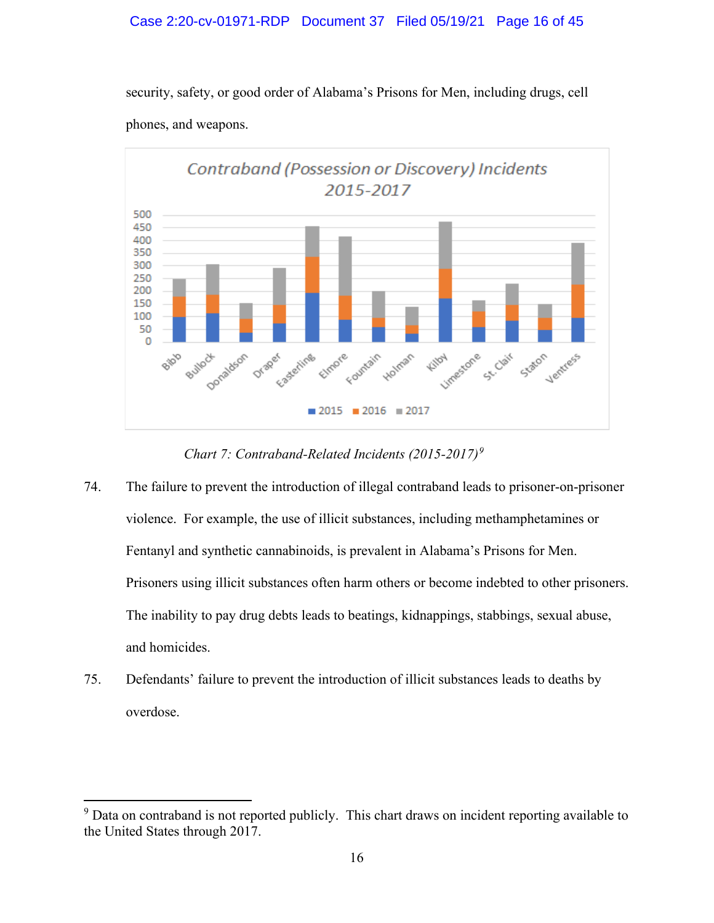### Case 2:20-cv-01971-RDP Document 37 Filed 05/19/21 Page 16 of 45

security, safety, or good order of Alabama's Prisons for Men, including drugs, cell phones, and weapons.



*Chart 7: Contraband-Related Incidents (2015-2017)[9](#page-31-0)*

- 74. The failure to prevent the introduction of illegal contraband leads to prisoner-on-prisoner violence. For example, the use of illicit substances, including methamphetamines or Fentanyl and synthetic cannabinoids, is prevalent in Alabama's Prisons for Men. Prisoners using illicit substances often harm others or become indebted to other prisoners. The inability to pay drug debts leads to beatings, kidnappings, stabbings, sexual abuse, and homicides.
- 75. Defendants' failure to prevent the introduction of illicit substances leads to deaths by overdose.

<sup>&</sup>lt;sup>9</sup> Data on contraband is not reported publicly. This chart draws on incident reporting available to the United States through 2017.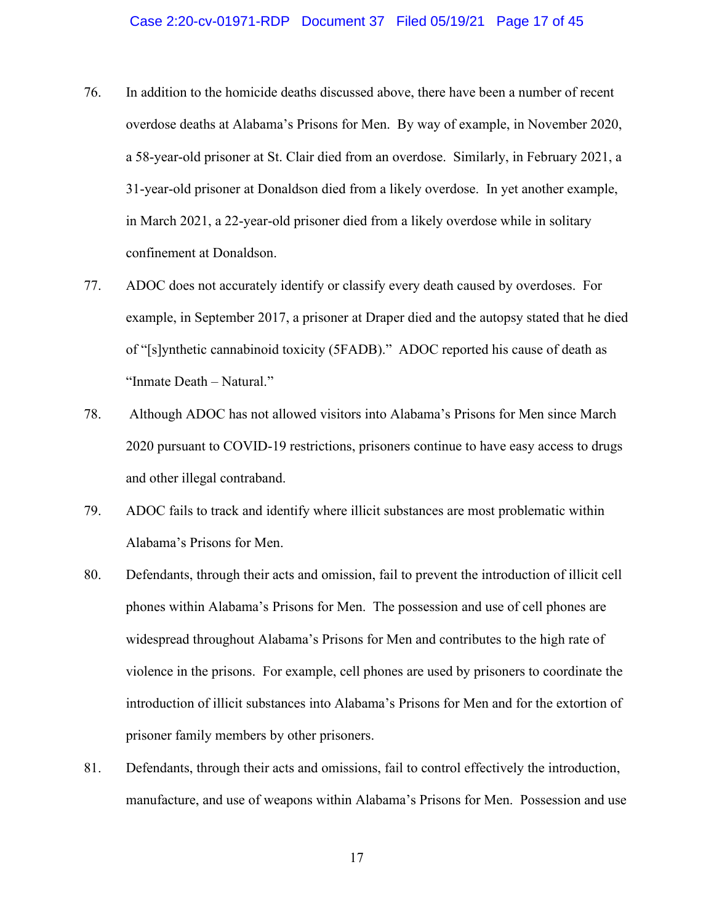#### Case 2:20-cv-01971-RDP Document 37 Filed 05/19/21 Page 17 of 45

- 76. In addition to the homicide deaths discussed above, there have been a number of recent overdose deaths at Alabama's Prisons for Men. By way of example, in November 2020, a 58-year-old prisoner at St. Clair died from an overdose. Similarly, in February 2021, a 31-year-old prisoner at Donaldson died from a likely overdose. In yet another example, in March 2021, a 22-year-old prisoner died from a likely overdose while in solitary confinement at Donaldson.
- 77. ADOC does not accurately identify or classify every death caused by overdoses. For example, in September 2017, a prisoner at Draper died and the autopsy stated that he died of "[s]ynthetic cannabinoid toxicity (5FADB)." ADOC reported his cause of death as "Inmate Death – Natural."
- 78. Although ADOC has not allowed visitors into Alabama's Prisons for Men since March 2020 pursuant to COVID-19 restrictions, prisoners continue to have easy access to drugs and other illegal contraband.
- 79. ADOC fails to track and identify where illicit substances are most problematic within Alabama's Prisons for Men.
- 80. Defendants, through their acts and omission, fail to prevent the introduction of illicit cell phones within Alabama's Prisons for Men. The possession and use of cell phones are widespread throughout Alabama's Prisons for Men and contributes to the high rate of violence in the prisons. For example, cell phones are used by prisoners to coordinate the introduction of illicit substances into Alabama's Prisons for Men and for the extortion of prisoner family members by other prisoners.
- 81. Defendants, through their acts and omissions, fail to control effectively the introduction, manufacture, and use of weapons within Alabama's Prisons for Men. Possession and use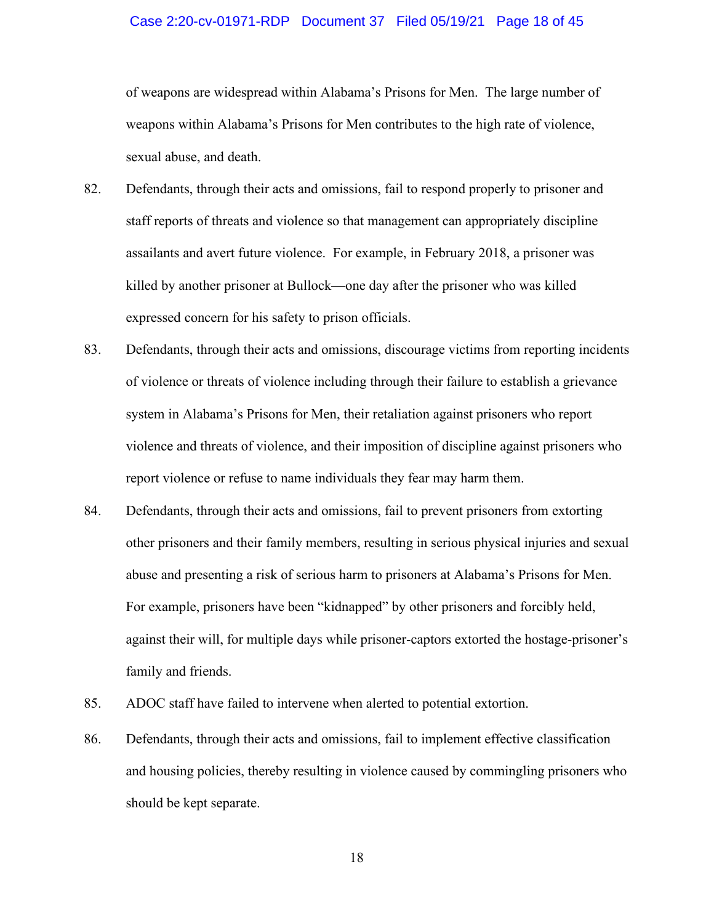#### Case 2:20-cv-01971-RDP Document 37 Filed 05/19/21 Page 18 of 45

of weapons are widespread within Alabama's Prisons for Men. The large number of weapons within Alabama's Prisons for Men contributes to the high rate of violence, sexual abuse, and death.

- 82. Defendants, through their acts and omissions, fail to respond properly to prisoner and staff reports of threats and violence so that management can appropriately discipline assailants and avert future violence. For example, in February 2018, a prisoner was killed by another prisoner at Bullock—one day after the prisoner who was killed expressed concern for his safety to prison officials.
- 83. Defendants, through their acts and omissions, discourage victims from reporting incidents of violence or threats of violence including through their failure to establish a grievance system in Alabama's Prisons for Men, their retaliation against prisoners who report violence and threats of violence, and their imposition of discipline against prisoners who report violence or refuse to name individuals they fear may harm them.
- 84. Defendants, through their acts and omissions, fail to prevent prisoners from extorting other prisoners and their family members, resulting in serious physical injuries and sexual abuse and presenting a risk of serious harm to prisoners at Alabama's Prisons for Men. For example, prisoners have been "kidnapped" by other prisoners and forcibly held, against their will, for multiple days while prisoner-captors extorted the hostage-prisoner's family and friends.
- 85. ADOC staff have failed to intervene when alerted to potential extortion.
- 86. Defendants, through their acts and omissions, fail to implement effective classification and housing policies, thereby resulting in violence caused by commingling prisoners who should be kept separate.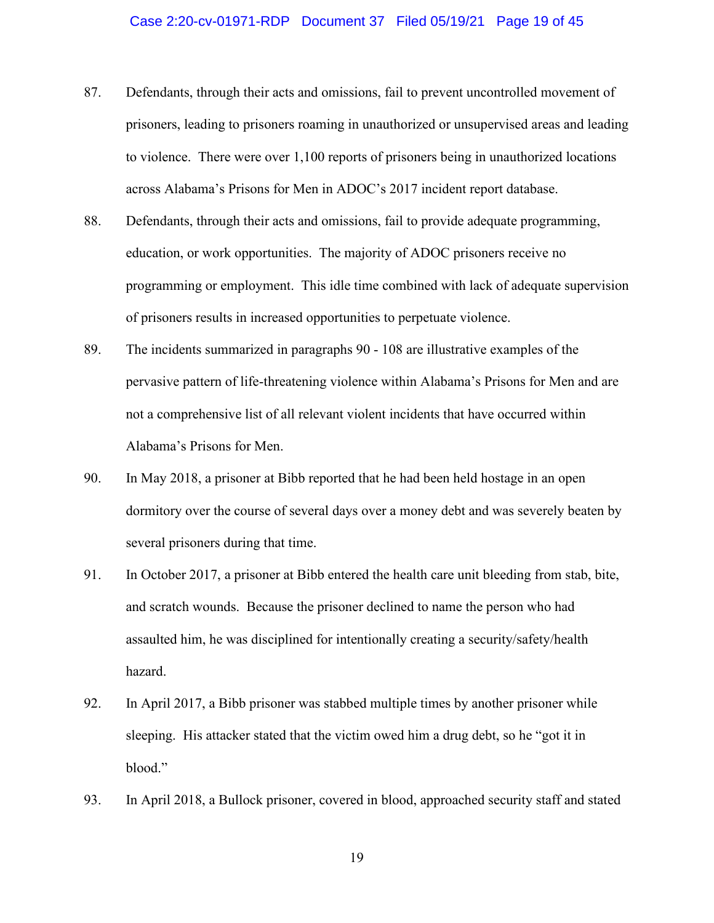#### Case 2:20-cv-01971-RDP Document 37 Filed 05/19/21 Page 19 of 45

- 87. Defendants, through their acts and omissions, fail to prevent uncontrolled movement of prisoners, leading to prisoners roaming in unauthorized or unsupervised areas and leading to violence. There were over 1,100 reports of prisoners being in unauthorized locations across Alabama's Prisons for Men in ADOC's 2017 incident report database.
- 88. Defendants, through their acts and omissions, fail to provide adequate programming, education, or work opportunities. The majority of ADOC prisoners receive no programming or employment. This idle time combined with lack of adequate supervision of prisoners results in increased opportunities to perpetuate violence.
- 89. The incidents summarized in paragraphs 90 108 are illustrative examples of the pervasive pattern of life-threatening violence within Alabama's Prisons for Men and are not a comprehensive list of all relevant violent incidents that have occurred within Alabama's Prisons for Men.
- 90. In May 2018, a prisoner at Bibb reported that he had been held hostage in an open dormitory over the course of several days over a money debt and was severely beaten by several prisoners during that time.
- 91. In October 2017, a prisoner at Bibb entered the health care unit bleeding from stab, bite, and scratch wounds. Because the prisoner declined to name the person who had assaulted him, he was disciplined for intentionally creating a security/safety/health hazard.
- 92. In April 2017, a Bibb prisoner was stabbed multiple times by another prisoner while sleeping. His attacker stated that the victim owed him a drug debt, so he "got it in blood."
- 93. In April 2018, a Bullock prisoner, covered in blood, approached security staff and stated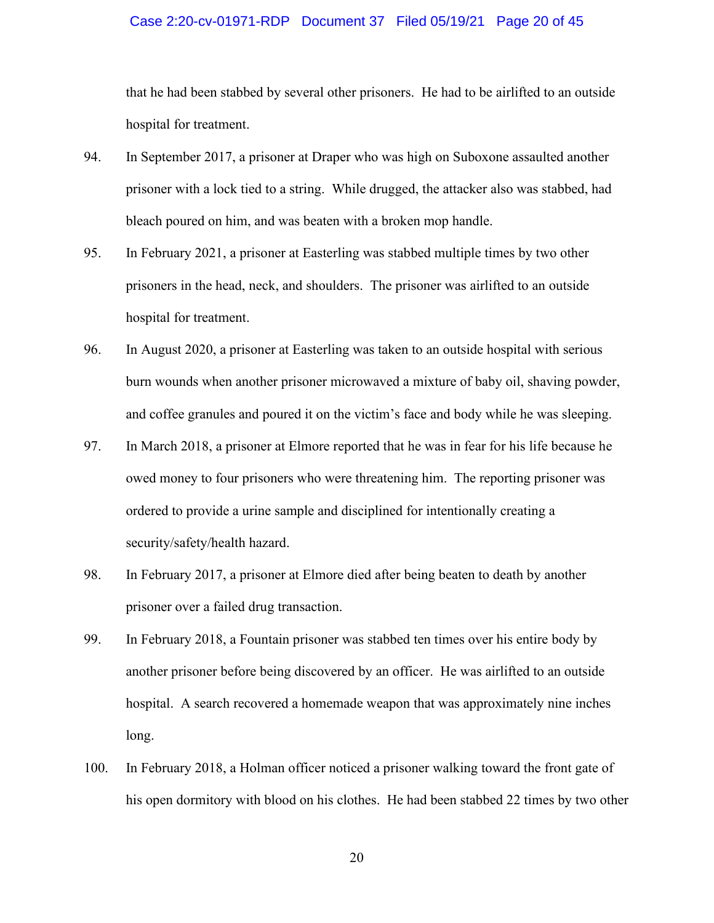#### Case 2:20-cv-01971-RDP Document 37 Filed 05/19/21 Page 20 of 45

that he had been stabbed by several other prisoners. He had to be airlifted to an outside hospital for treatment.

- 94. In September 2017, a prisoner at Draper who was high on Suboxone assaulted another prisoner with a lock tied to a string. While drugged, the attacker also was stabbed, had bleach poured on him, and was beaten with a broken mop handle.
- 95. In February 2021, a prisoner at Easterling was stabbed multiple times by two other prisoners in the head, neck, and shoulders. The prisoner was airlifted to an outside hospital for treatment.
- 96. In August 2020, a prisoner at Easterling was taken to an outside hospital with serious burn wounds when another prisoner microwaved a mixture of baby oil, shaving powder, and coffee granules and poured it on the victim's face and body while he was sleeping.
- 97. In March 2018, a prisoner at Elmore reported that he was in fear for his life because he owed money to four prisoners who were threatening him. The reporting prisoner was ordered to provide a urine sample and disciplined for intentionally creating a security/safety/health hazard.
- 98. In February 2017, a prisoner at Elmore died after being beaten to death by another prisoner over a failed drug transaction.
- 99. In February 2018, a Fountain prisoner was stabbed ten times over his entire body by another prisoner before being discovered by an officer. He was airlifted to an outside hospital. A search recovered a homemade weapon that was approximately nine inches long.
- 100. In February 2018, a Holman officer noticed a prisoner walking toward the front gate of his open dormitory with blood on his clothes. He had been stabbed 22 times by two other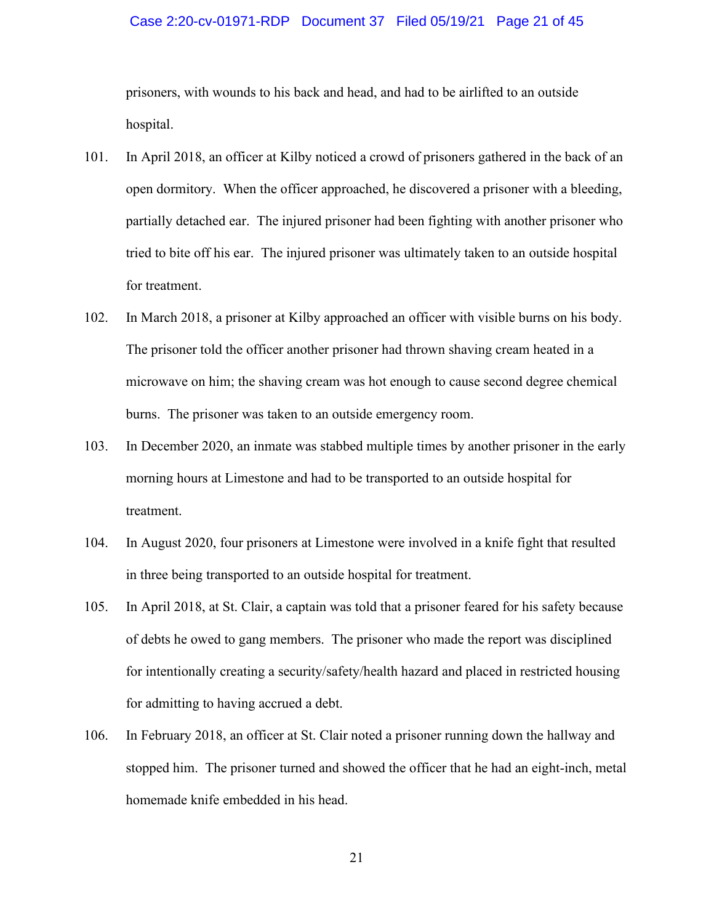#### Case 2:20-cv-01971-RDP Document 37 Filed 05/19/21 Page 21 of 45

prisoners, with wounds to his back and head, and had to be airlifted to an outside hospital.

- 101. In April 2018, an officer at Kilby noticed a crowd of prisoners gathered in the back of an open dormitory. When the officer approached, he discovered a prisoner with a bleeding, partially detached ear. The injured prisoner had been fighting with another prisoner who tried to bite off his ear. The injured prisoner was ultimately taken to an outside hospital for treatment.
- 102. In March 2018, a prisoner at Kilby approached an officer with visible burns on his body. The prisoner told the officer another prisoner had thrown shaving cream heated in a microwave on him; the shaving cream was hot enough to cause second degree chemical burns. The prisoner was taken to an outside emergency room.
- 103. In December 2020, an inmate was stabbed multiple times by another prisoner in the early morning hours at Limestone and had to be transported to an outside hospital for treatment.
- 104. In August 2020, four prisoners at Limestone were involved in a knife fight that resulted in three being transported to an outside hospital for treatment.
- 105. In April 2018, at St. Clair, a captain was told that a prisoner feared for his safety because of debts he owed to gang members. The prisoner who made the report was disciplined for intentionally creating a security/safety/health hazard and placed in restricted housing for admitting to having accrued a debt.
- 106. In February 2018, an officer at St. Clair noted a prisoner running down the hallway and stopped him. The prisoner turned and showed the officer that he had an eight-inch, metal homemade knife embedded in his head.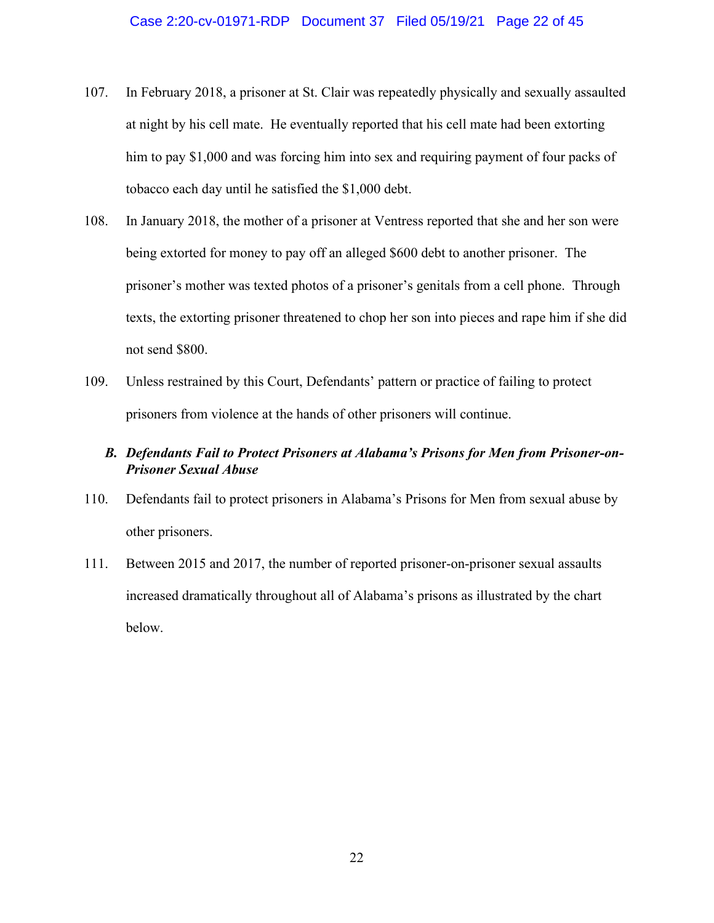- 107. In February 2018, a prisoner at St. Clair was repeatedly physically and sexually assaulted at night by his cell mate. He eventually reported that his cell mate had been extorting him to pay \$1,000 and was forcing him into sex and requiring payment of four packs of tobacco each day until he satisfied the \$1,000 debt.
- 108. In January 2018, the mother of a prisoner at Ventress reported that she and her son were being extorted for money to pay off an alleged \$600 debt to another prisoner. The prisoner's mother was texted photos of a prisoner's genitals from a cell phone. Through texts, the extorting prisoner threatened to chop her son into pieces and rape him if she did not send \$800.
- 109. Unless restrained by this Court, Defendants' pattern or practice of failing to protect prisoners from violence at the hands of other prisoners will continue.

## *B. Defendants Fail to Protect Prisoners at Alabama's Prisons for Men from Prisoner-on-Prisoner Sexual Abuse*

- 110. Defendants fail to protect prisoners in Alabama's Prisons for Men from sexual abuse by other prisoners.
- 111. Between 2015 and 2017, the number of reported prisoner-on-prisoner sexual assaults increased dramatically throughout all of Alabama's prisons as illustrated by the chart below.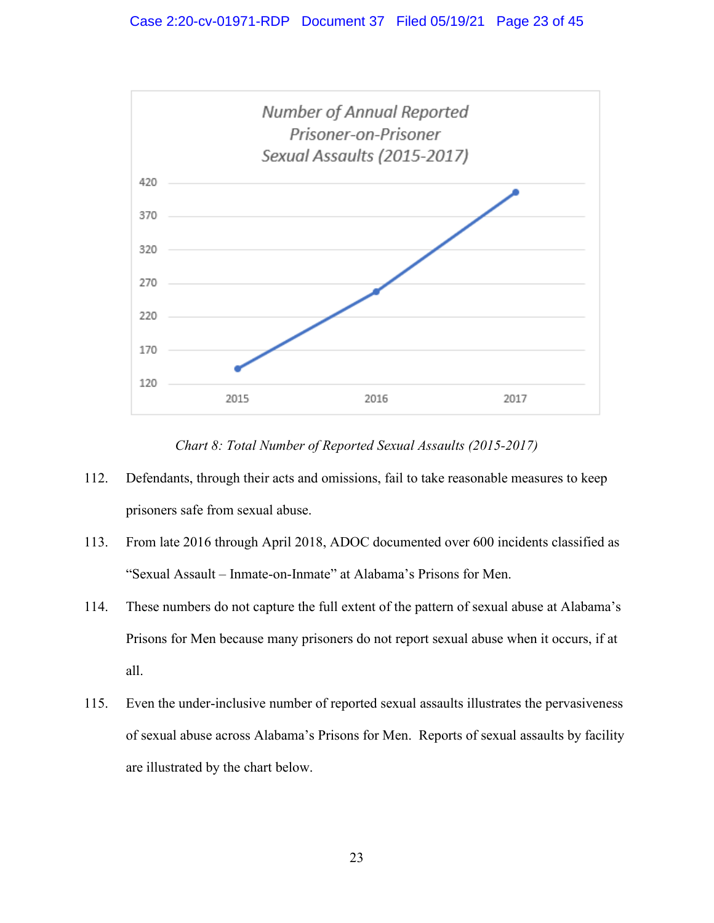

*Chart 8: Total Number of Reported Sexual Assaults (2015-2017)*

- 112. Defendants, through their acts and omissions, fail to take reasonable measures to keep prisoners safe from sexual abuse.
- 113. From late 2016 through April 2018, ADOC documented over 600 incidents classified as "Sexual Assault – Inmate-on-Inmate" at Alabama's Prisons for Men.
- 114. These numbers do not capture the full extent of the pattern of sexual abuse at Alabama's Prisons for Men because many prisoners do not report sexual abuse when it occurs, if at all.
- 115. Even the under-inclusive number of reported sexual assaults illustrates the pervasiveness of sexual abuse across Alabama's Prisons for Men. Reports of sexual assaults by facility are illustrated by the chart below.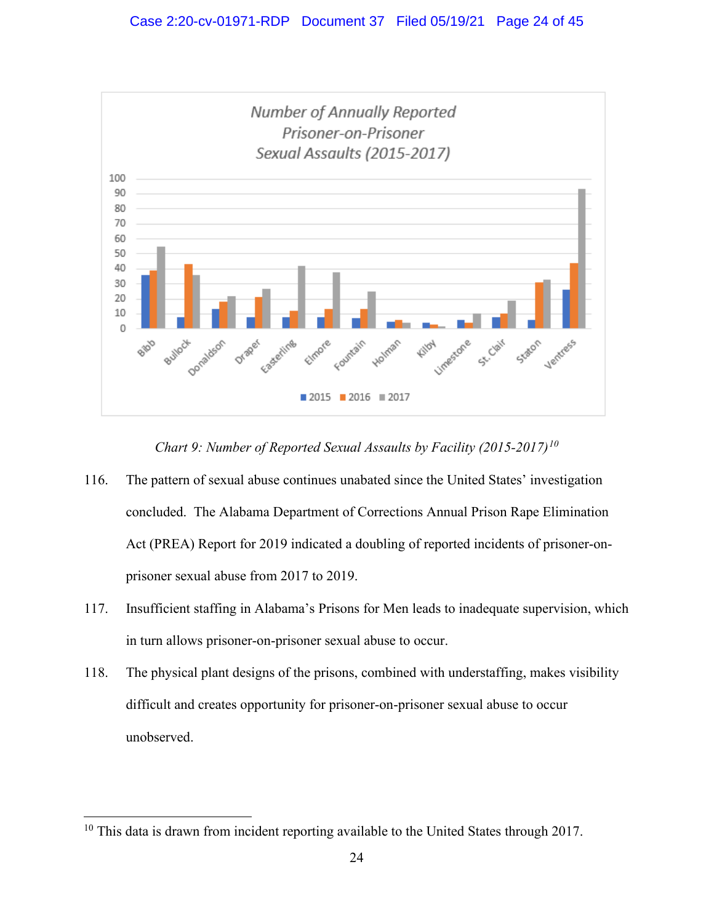

*Chart 9: Number of Reported Sexual Assaults by Facility (2015-2017)[10](#page-31-0)*

- 116. The pattern of sexual abuse continues unabated since the United States' investigation concluded. The Alabama Department of Corrections Annual Prison Rape Elimination Act (PREA) Report for 2019 indicated a doubling of reported incidents of prisoner-onprisoner sexual abuse from 2017 to 2019.
- 117. Insufficient staffing in Alabama's Prisons for Men leads to inadequate supervision, which in turn allows prisoner-on-prisoner sexual abuse to occur.
- 118. The physical plant designs of the prisons, combined with understaffing, makes visibility difficult and creates opportunity for prisoner-on-prisoner sexual abuse to occur unobserved.

 $10$  This data is drawn from incident reporting available to the United States through 2017.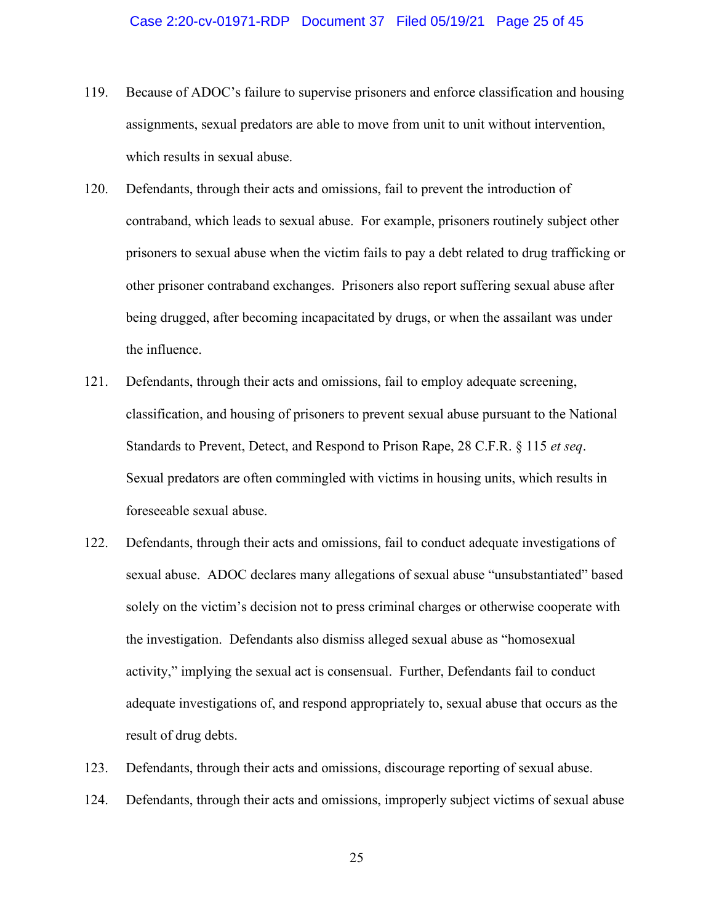- 119. Because of ADOC's failure to supervise prisoners and enforce classification and housing assignments, sexual predators are able to move from unit to unit without intervention, which results in sexual abuse.
- 120. Defendants, through their acts and omissions, fail to prevent the introduction of contraband, which leads to sexual abuse. For example, prisoners routinely subject other prisoners to sexual abuse when the victim fails to pay a debt related to drug trafficking or other prisoner contraband exchanges. Prisoners also report suffering sexual abuse after being drugged, after becoming incapacitated by drugs, or when the assailant was under the influence.
- 121. Defendants, through their acts and omissions, fail to employ adequate screening, classification, and housing of prisoners to prevent sexual abuse pursuant to the National Standards to Prevent, Detect, and Respond to Prison Rape, 28 C.F.R. § 115 *et seq*. Sexual predators are often commingled with victims in housing units, which results in foreseeable sexual abuse.
- 122. Defendants, through their acts and omissions, fail to conduct adequate investigations of sexual abuse. ADOC declares many allegations of sexual abuse "unsubstantiated" based solely on the victim's decision not to press criminal charges or otherwise cooperate with the investigation. Defendants also dismiss alleged sexual abuse as "homosexual activity," implying the sexual act is consensual. Further, Defendants fail to conduct adequate investigations of, and respond appropriately to, sexual abuse that occurs as the result of drug debts.
- 123. Defendants, through their acts and omissions, discourage reporting of sexual abuse.
- 124. Defendants, through their acts and omissions, improperly subject victims of sexual abuse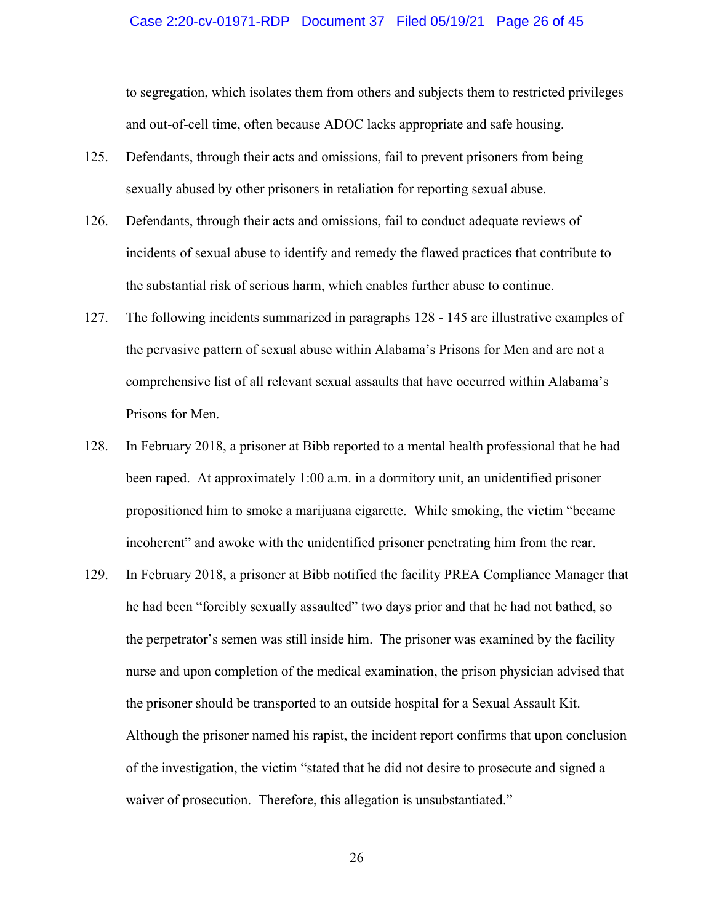#### Case 2:20-cv-01971-RDP Document 37 Filed 05/19/21 Page 26 of 45

to segregation, which isolates them from others and subjects them to restricted privileges and out-of-cell time, often because ADOC lacks appropriate and safe housing.

- 125. Defendants, through their acts and omissions, fail to prevent prisoners from being sexually abused by other prisoners in retaliation for reporting sexual abuse.
- 126. Defendants, through their acts and omissions, fail to conduct adequate reviews of incidents of sexual abuse to identify and remedy the flawed practices that contribute to the substantial risk of serious harm, which enables further abuse to continue.
- 127. The following incidents summarized in paragraphs 128 145 are illustrative examples of the pervasive pattern of sexual abuse within Alabama's Prisons for Men and are not a comprehensive list of all relevant sexual assaults that have occurred within Alabama's Prisons for Men.
- 128. In February 2018, a prisoner at Bibb reported to a mental health professional that he had been raped. At approximately 1:00 a.m. in a dormitory unit, an unidentified prisoner propositioned him to smoke a marijuana cigarette. While smoking, the victim "became incoherent" and awoke with the unidentified prisoner penetrating him from the rear.
- 129. In February 2018, a prisoner at Bibb notified the facility PREA Compliance Manager that he had been "forcibly sexually assaulted" two days prior and that he had not bathed, so the perpetrator's semen was still inside him. The prisoner was examined by the facility nurse and upon completion of the medical examination, the prison physician advised that the prisoner should be transported to an outside hospital for a Sexual Assault Kit. Although the prisoner named his rapist, the incident report confirms that upon conclusion of the investigation, the victim "stated that he did not desire to prosecute and signed a waiver of prosecution. Therefore, this allegation is unsubstantiated."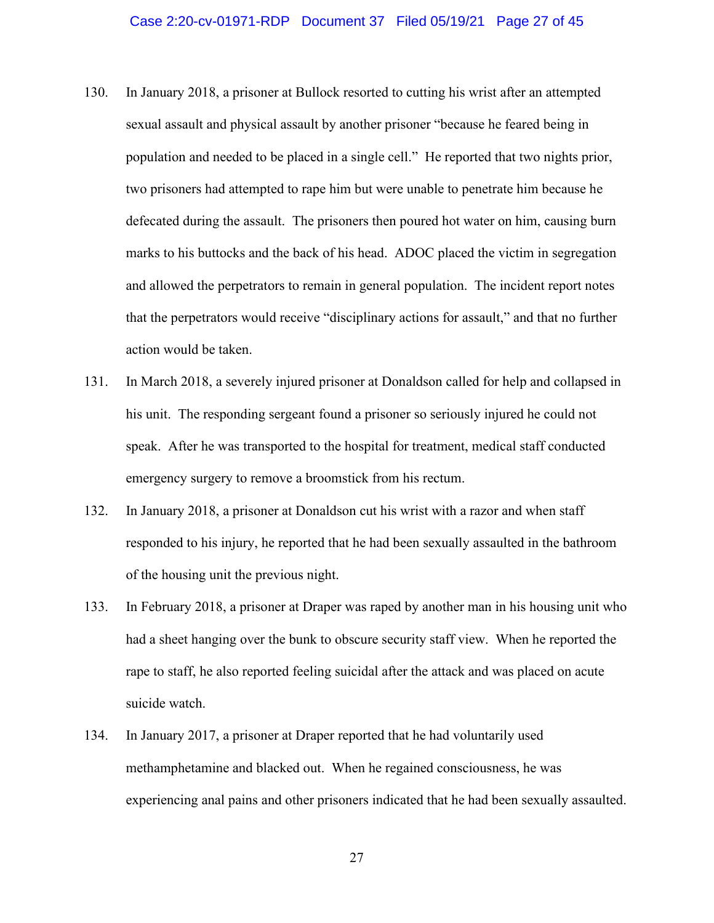- 130. In January 2018, a prisoner at Bullock resorted to cutting his wrist after an attempted sexual assault and physical assault by another prisoner "because he feared being in population and needed to be placed in a single cell." He reported that two nights prior, two prisoners had attempted to rape him but were unable to penetrate him because he defecated during the assault. The prisoners then poured hot water on him, causing burn marks to his buttocks and the back of his head. ADOC placed the victim in segregation and allowed the perpetrators to remain in general population. The incident report notes that the perpetrators would receive "disciplinary actions for assault," and that no further action would be taken.
- 131. In March 2018, a severely injured prisoner at Donaldson called for help and collapsed in his unit. The responding sergeant found a prisoner so seriously injured he could not speak. After he was transported to the hospital for treatment, medical staff conducted emergency surgery to remove a broomstick from his rectum.
- 132. In January 2018, a prisoner at Donaldson cut his wrist with a razor and when staff responded to his injury, he reported that he had been sexually assaulted in the bathroom of the housing unit the previous night.
- 133. In February 2018, a prisoner at Draper was raped by another man in his housing unit who had a sheet hanging over the bunk to obscure security staff view. When he reported the rape to staff, he also reported feeling suicidal after the attack and was placed on acute suicide watch.
- 134. In January 2017, a prisoner at Draper reported that he had voluntarily used methamphetamine and blacked out. When he regained consciousness, he was experiencing anal pains and other prisoners indicated that he had been sexually assaulted.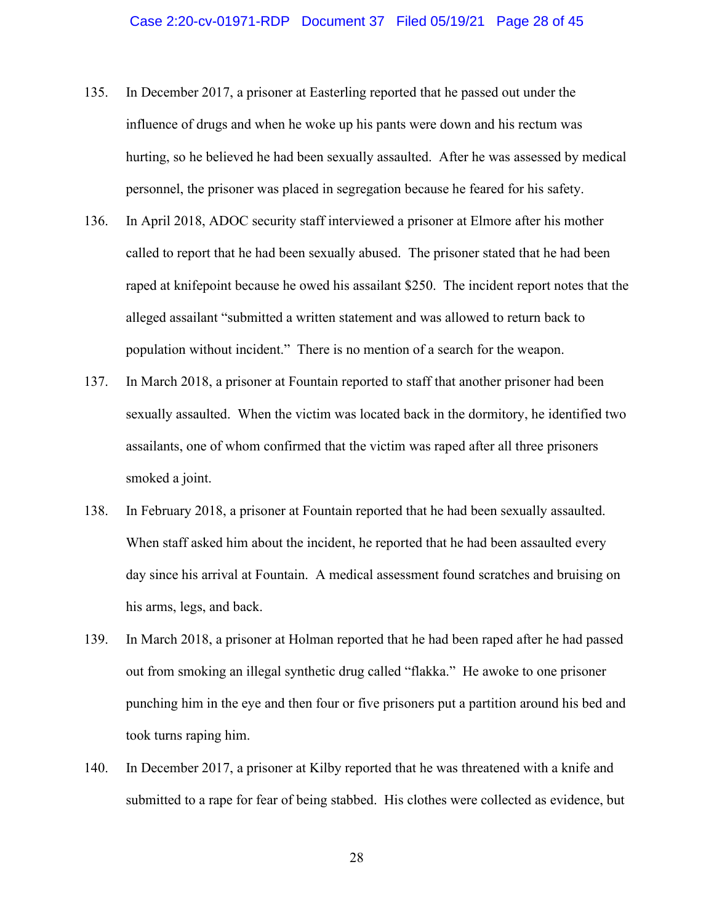#### Case 2:20-cv-01971-RDP Document 37 Filed 05/19/21 Page 28 of 45

- 135. In December 2017, a prisoner at Easterling reported that he passed out under the influence of drugs and when he woke up his pants were down and his rectum was hurting, so he believed he had been sexually assaulted. After he was assessed by medical personnel, the prisoner was placed in segregation because he feared for his safety.
- 136. In April 2018, ADOC security staff interviewed a prisoner at Elmore after his mother called to report that he had been sexually abused. The prisoner stated that he had been raped at knifepoint because he owed his assailant \$250. The incident report notes that the alleged assailant "submitted a written statement and was allowed to return back to population without incident." There is no mention of a search for the weapon.
- 137. In March 2018, a prisoner at Fountain reported to staff that another prisoner had been sexually assaulted. When the victim was located back in the dormitory, he identified two assailants, one of whom confirmed that the victim was raped after all three prisoners smoked a joint.
- 138. In February 2018, a prisoner at Fountain reported that he had been sexually assaulted. When staff asked him about the incident, he reported that he had been assaulted every day since his arrival at Fountain. A medical assessment found scratches and bruising on his arms, legs, and back.
- 139. In March 2018, a prisoner at Holman reported that he had been raped after he had passed out from smoking an illegal synthetic drug called "flakka." He awoke to one prisoner punching him in the eye and then four or five prisoners put a partition around his bed and took turns raping him.
- 140. In December 2017, a prisoner at Kilby reported that he was threatened with a knife and submitted to a rape for fear of being stabbed. His clothes were collected as evidence, but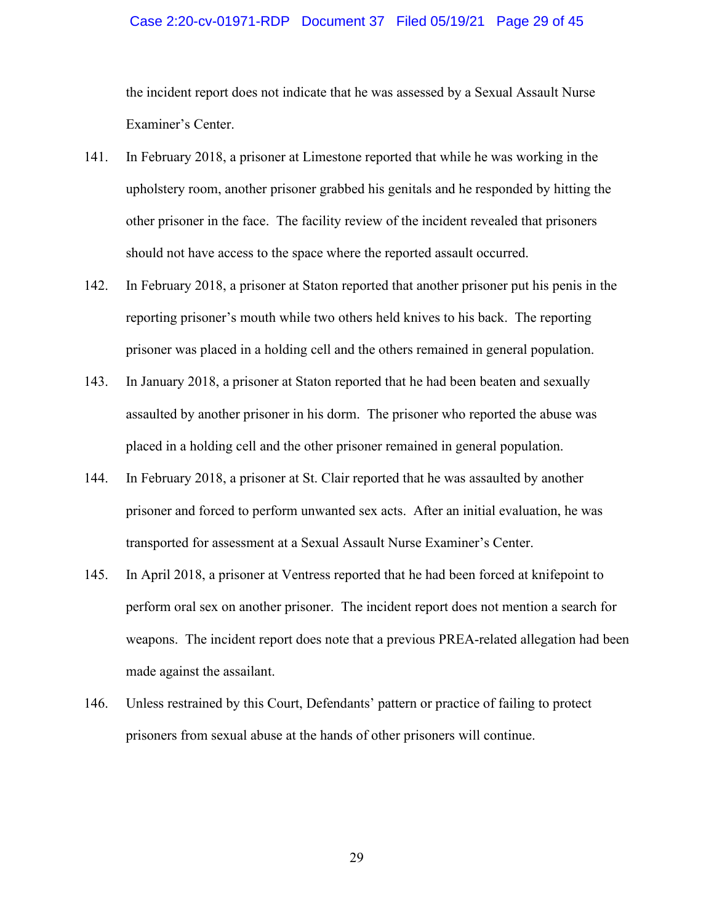#### Case 2:20-cv-01971-RDP Document 37 Filed 05/19/21 Page 29 of 45

the incident report does not indicate that he was assessed by a Sexual Assault Nurse Examiner's Center.

- 141. In February 2018, a prisoner at Limestone reported that while he was working in the upholstery room, another prisoner grabbed his genitals and he responded by hitting the other prisoner in the face. The facility review of the incident revealed that prisoners should not have access to the space where the reported assault occurred.
- 142. In February 2018, a prisoner at Staton reported that another prisoner put his penis in the reporting prisoner's mouth while two others held knives to his back. The reporting prisoner was placed in a holding cell and the others remained in general population.
- 143. In January 2018, a prisoner at Staton reported that he had been beaten and sexually assaulted by another prisoner in his dorm. The prisoner who reported the abuse was placed in a holding cell and the other prisoner remained in general population.
- 144. In February 2018, a prisoner at St. Clair reported that he was assaulted by another prisoner and forced to perform unwanted sex acts. After an initial evaluation, he was transported for assessment at a Sexual Assault Nurse Examiner's Center.
- 145. In April 2018, a prisoner at Ventress reported that he had been forced at knifepoint to perform oral sex on another prisoner. The incident report does not mention a search for weapons. The incident report does note that a previous PREA-related allegation had been made against the assailant.
- 146. Unless restrained by this Court, Defendants' pattern or practice of failing to protect prisoners from sexual abuse at the hands of other prisoners will continue.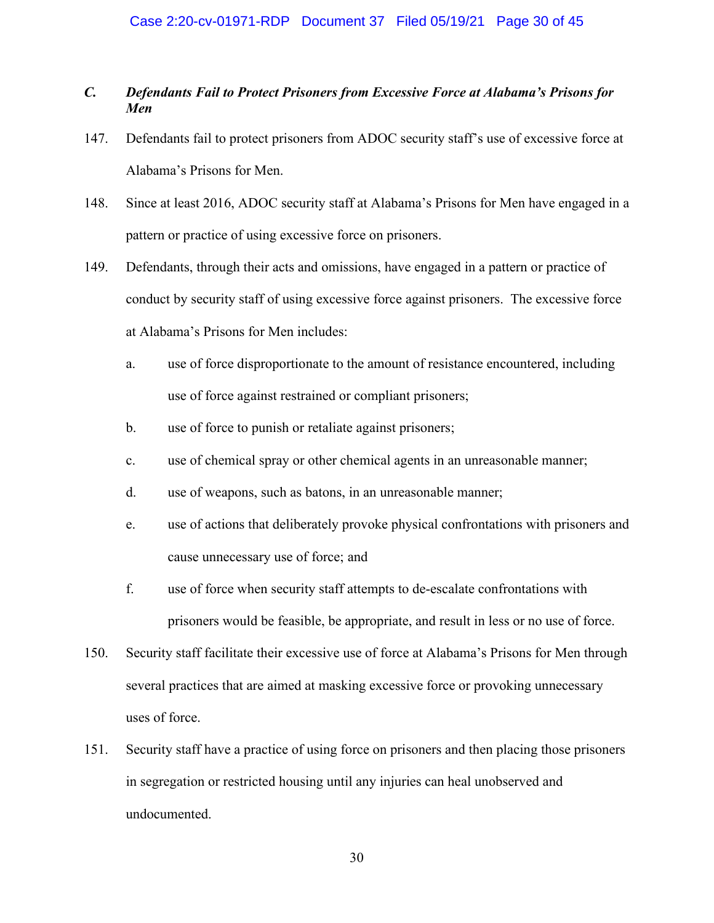#### Case 2:20-cv-01971-RDP Document 37 Filed 05/19/21 Page 30 of 45

## *C. Defendants Fail to Protect Prisoners from Excessive Force at Alabama's Prisons for Men*

- 147. Defendants fail to protect prisoners from ADOC security staff's use of excessive force at Alabama's Prisons for Men.
- 148. Since at least 2016, ADOC security staff at Alabama's Prisons for Men have engaged in a pattern or practice of using excessive force on prisoners.
- 149. Defendants, through their acts and omissions, have engaged in a pattern or practice of conduct by security staff of using excessive force against prisoners. The excessive force at Alabama's Prisons for Men includes:
	- a. use of force disproportionate to the amount of resistance encountered, including use of force against restrained or compliant prisoners;
	- b. use of force to punish or retaliate against prisoners;
	- c. use of chemical spray or other chemical agents in an unreasonable manner;
	- d. use of weapons, such as batons, in an unreasonable manner;
	- e. use of actions that deliberately provoke physical confrontations with prisoners and cause unnecessary use of force; and
	- f. use of force when security staff attempts to de-escalate confrontations with prisoners would be feasible, be appropriate, and result in less or no use of force.
- 150. Security staff facilitate their excessive use of force at Alabama's Prisons for Men through several practices that are aimed at masking excessive force or provoking unnecessary uses of force.
- 151. Security staff have a practice of using force on prisoners and then placing those prisoners in segregation or restricted housing until any injuries can heal unobserved and undocumented.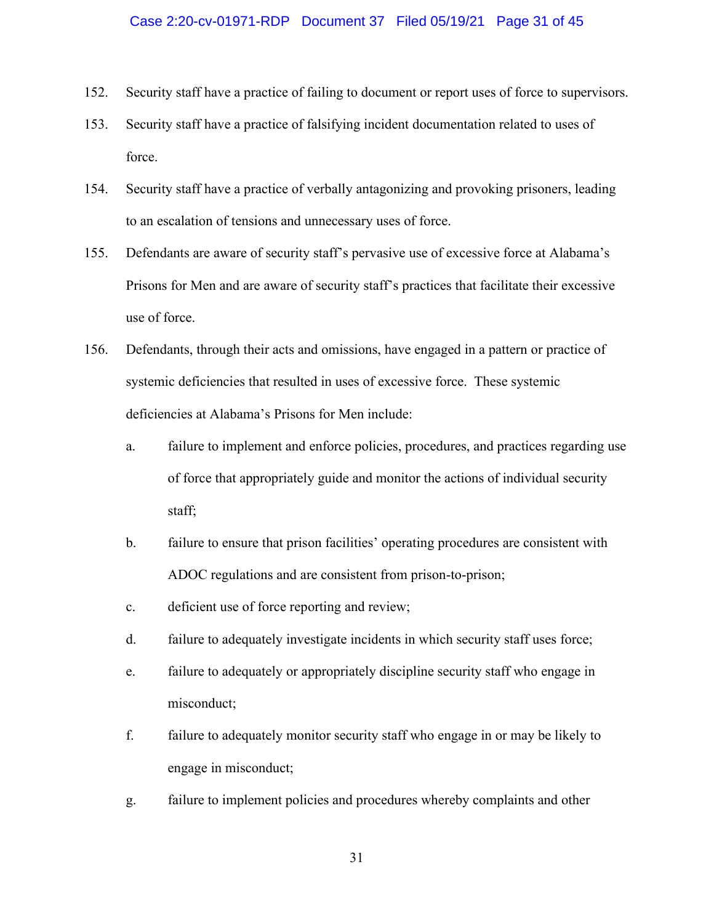#### Case 2:20-cv-01971-RDP Document 37 Filed 05/19/21 Page 31 of 45

- 152. Security staff have a practice of failing to document or report uses of force to supervisors.
- 153. Security staff have a practice of falsifying incident documentation related to uses of force.
- 154. Security staff have a practice of verbally antagonizing and provoking prisoners, leading to an escalation of tensions and unnecessary uses of force.
- 155. Defendants are aware of security staff's pervasive use of excessive force at Alabama's Prisons for Men and are aware of security staff's practices that facilitate their excessive use of force.
- 156. Defendants, through their acts and omissions, have engaged in a pattern or practice of systemic deficiencies that resulted in uses of excessive force. These systemic deficiencies at Alabama's Prisons for Men include:
	- a. failure to implement and enforce policies, procedures, and practices regarding use of force that appropriately guide and monitor the actions of individual security staff;
	- b. failure to ensure that prison facilities' operating procedures are consistent with ADOC regulations and are consistent from prison-to-prison;
	- c. deficient use of force reporting and review;
	- d. failure to adequately investigate incidents in which security staff uses force;
	- e. failure to adequately or appropriately discipline security staff who engage in misconduct;
	- f. failure to adequately monitor security staff who engage in or may be likely to engage in misconduct;
	- g. failure to implement policies and procedures whereby complaints and other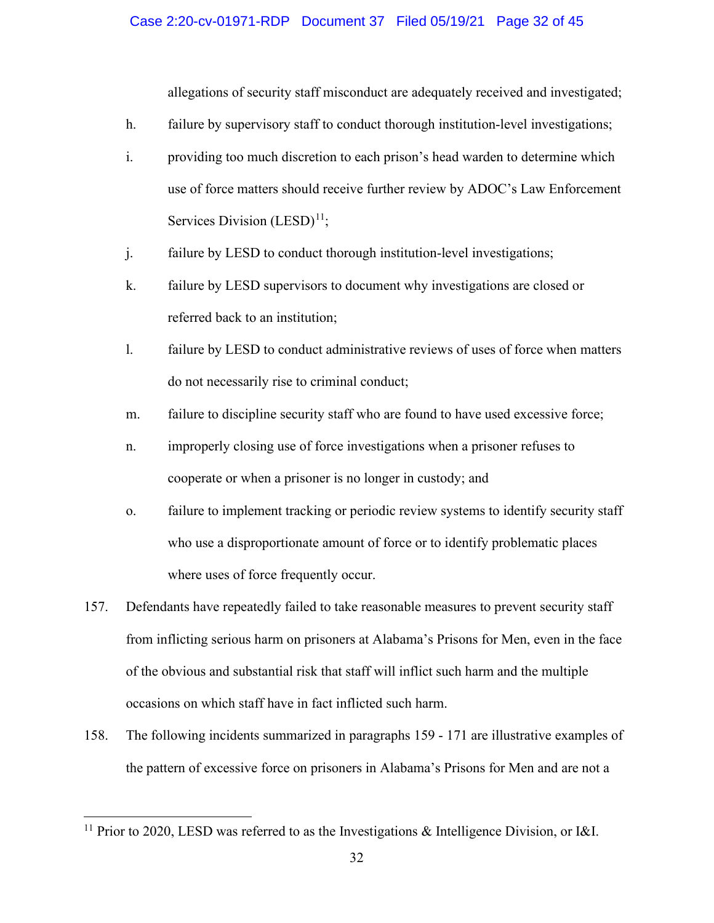#### Case 2:20-cv-01971-RDP Document 37 Filed 05/19/21 Page 32 of 45

allegations of security staff misconduct are adequately received and investigated;

- h. failure by supervisory staff to conduct thorough institution-level investigations;
- i. providing too much discretion to each prison's head warden to determine which use of force matters should receive further review by ADOC's Law Enforcement Services Division  $(LESD)^{11}$ ;
- j. failure by LESD to conduct thorough institution-level investigations;
- k. failure by LESD supervisors to document why investigations are closed or referred back to an institution;
- l. failure by LESD to conduct administrative reviews of uses of force when matters do not necessarily rise to criminal conduct;
- m. failure to discipline security staff who are found to have used excessive force;
- n. improperly closing use of force investigations when a prisoner refuses to cooperate or when a prisoner is no longer in custody; and
- o. failure to implement tracking or periodic review systems to identify security staff who use a disproportionate amount of force or to identify problematic places where uses of force frequently occur.
- 157. Defendants have repeatedly failed to take reasonable measures to prevent security staff from inflicting serious harm on prisoners at Alabama's Prisons for Men, even in the face of the obvious and substantial risk that staff will inflict such harm and the multiple occasions on which staff have in fact inflicted such harm.
- 158. The following incidents summarized in paragraphs 159 171 are illustrative examples of the pattern of excessive force on prisoners in Alabama's Prisons for Men and are not a

<span id="page-31-0"></span><sup>&</sup>lt;sup>11</sup> Prior to 2020, LESD was referred to as the Investigations & Intelligence Division, or I&I.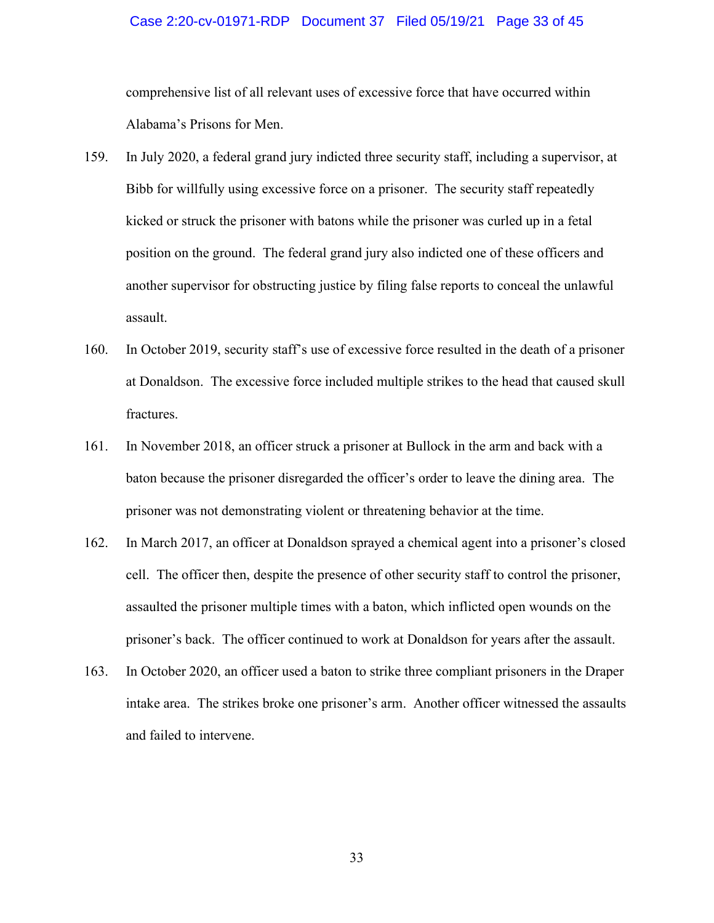#### Case 2:20-cv-01971-RDP Document 37 Filed 05/19/21 Page 33 of 45

comprehensive list of all relevant uses of excessive force that have occurred within Alabama's Prisons for Men.

- 159. In July 2020, a federal grand jury indicted three security staff, including a supervisor, at Bibb for willfully using excessive force on a prisoner. The security staff repeatedly kicked or struck the prisoner with batons while the prisoner was curled up in a fetal position on the ground. The federal grand jury also indicted one of these officers and another supervisor for obstructing justice by filing false reports to conceal the unlawful assault.
- 160. In October 2019, security staff's use of excessive force resulted in the death of a prisoner at Donaldson. The excessive force included multiple strikes to the head that caused skull fractures.
- 161. In November 2018, an officer struck a prisoner at Bullock in the arm and back with a baton because the prisoner disregarded the officer's order to leave the dining area. The prisoner was not demonstrating violent or threatening behavior at the time.
- 162. In March 2017, an officer at Donaldson sprayed a chemical agent into a prisoner's closed cell. The officer then, despite the presence of other security staff to control the prisoner, assaulted the prisoner multiple times with a baton, which inflicted open wounds on the prisoner's back. The officer continued to work at Donaldson for years after the assault.
- 163. In October 2020, an officer used a baton to strike three compliant prisoners in the Draper intake area. The strikes broke one prisoner's arm. Another officer witnessed the assaults and failed to intervene.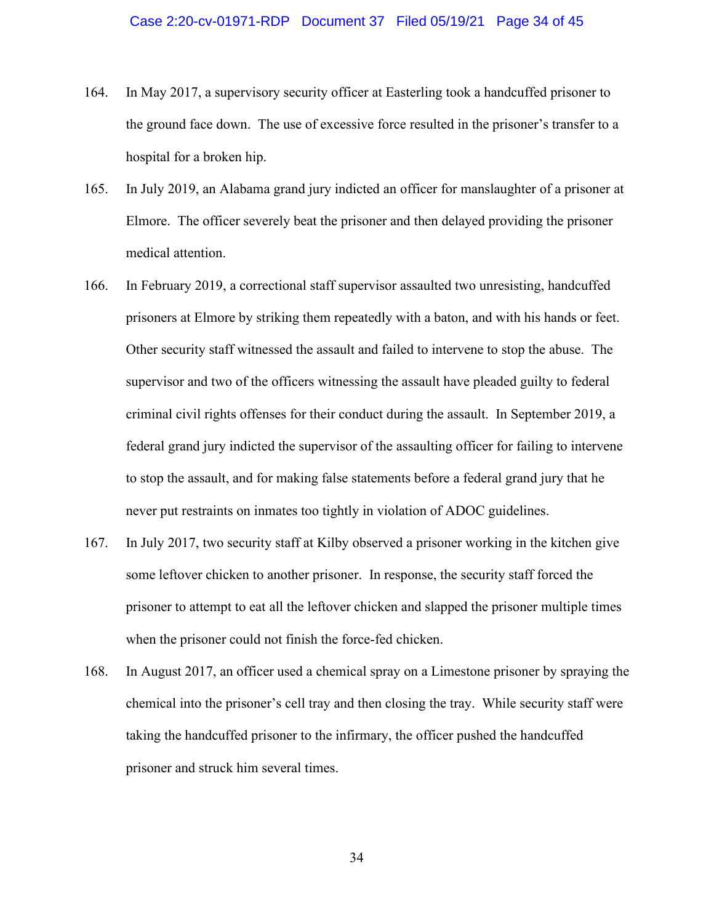- 164. In May 2017, a supervisory security officer at Easterling took a handcuffed prisoner to the ground face down. The use of excessive force resulted in the prisoner's transfer to a hospital for a broken hip.
- 165. In July 2019, an Alabama grand jury indicted an officer for manslaughter of a prisoner at Elmore. The officer severely beat the prisoner and then delayed providing the prisoner medical attention.
- 166. In February 2019, a correctional staff supervisor assaulted two unresisting, handcuffed prisoners at Elmore by striking them repeatedly with a baton, and with his hands or feet. Other security staff witnessed the assault and failed to intervene to stop the abuse. The supervisor and two of the officers witnessing the assault have pleaded guilty to federal criminal civil rights offenses for their conduct during the assault. In September 2019, a federal grand jury indicted the supervisor of the assaulting officer for failing to intervene to stop the assault, and for making false statements before a federal grand jury that he never put restraints on inmates too tightly in violation of ADOC guidelines.
- 167. In July 2017, two security staff at Kilby observed a prisoner working in the kitchen give some leftover chicken to another prisoner. In response, the security staff forced the prisoner to attempt to eat all the leftover chicken and slapped the prisoner multiple times when the prisoner could not finish the force-fed chicken.
- 168. In August 2017, an officer used a chemical spray on a Limestone prisoner by spraying the chemical into the prisoner's cell tray and then closing the tray. While security staff were taking the handcuffed prisoner to the infirmary, the officer pushed the handcuffed prisoner and struck him several times.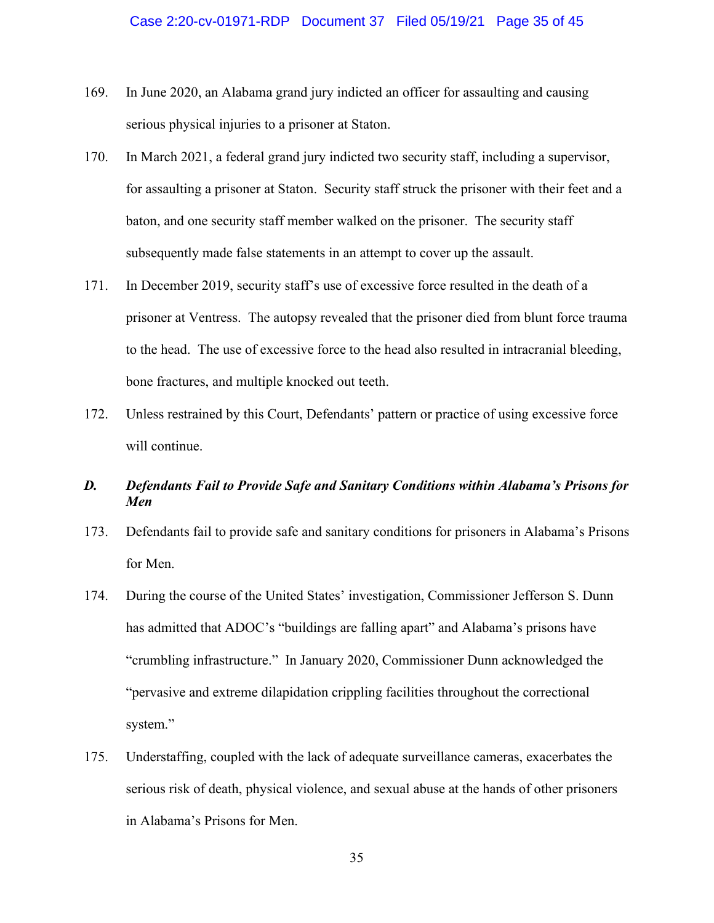- 169. In June 2020, an Alabama grand jury indicted an officer for assaulting and causing serious physical injuries to a prisoner at Staton.
- 170. In March 2021, a federal grand jury indicted two security staff, including a supervisor, for assaulting a prisoner at Staton. Security staff struck the prisoner with their feet and a baton, and one security staff member walked on the prisoner. The security staff subsequently made false statements in an attempt to cover up the assault.
- 171. In December 2019, security staff's use of excessive force resulted in the death of a prisoner at Ventress. The autopsy revealed that the prisoner died from blunt force trauma to the head. The use of excessive force to the head also resulted in intracranial bleeding, bone fractures, and multiple knocked out teeth.
- 172. Unless restrained by this Court, Defendants' pattern or practice of using excessive force will continue.

## *D. Defendants Fail to Provide Safe and Sanitary Conditions within Alabama's Prisons for Men*

- 173. Defendants fail to provide safe and sanitary conditions for prisoners in Alabama's Prisons for Men.
- 174. During the course of the United States' investigation, Commissioner Jefferson S. Dunn has admitted that ADOC's "buildings are falling apart" and Alabama's prisons have "crumbling infrastructure." In January 2020, Commissioner Dunn acknowledged the "pervasive and extreme dilapidation crippling facilities throughout the correctional system."
- 175. Understaffing, coupled with the lack of adequate surveillance cameras, exacerbates the serious risk of death, physical violence, and sexual abuse at the hands of other prisoners in Alabama's Prisons for Men.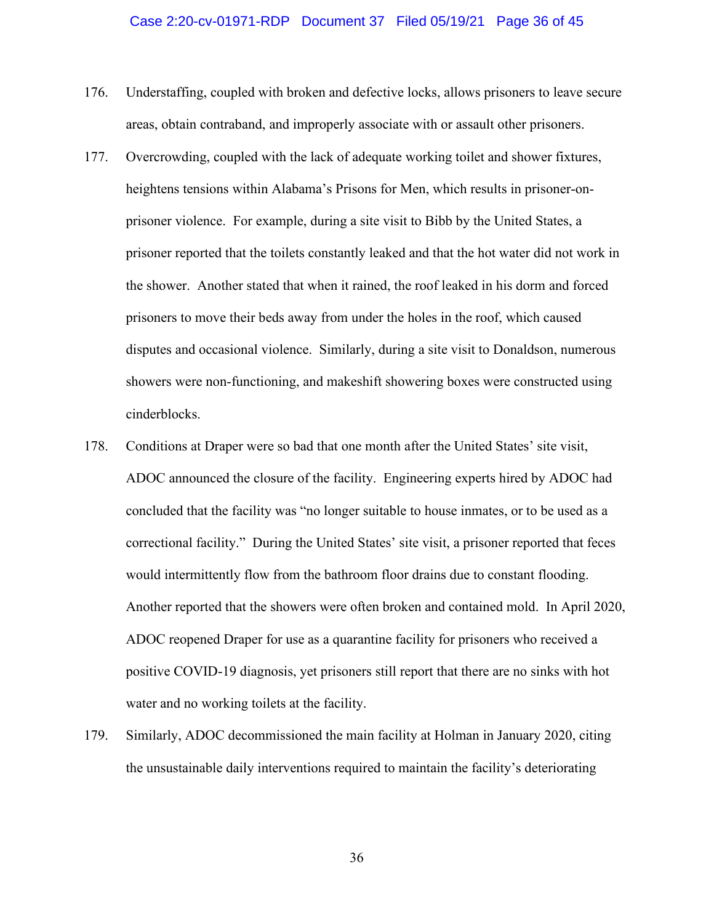#### Case 2:20-cv-01971-RDP Document 37 Filed 05/19/21 Page 36 of 45

- 176. Understaffing, coupled with broken and defective locks, allows prisoners to leave secure areas, obtain contraband, and improperly associate with or assault other prisoners.
- 177. Overcrowding, coupled with the lack of adequate working toilet and shower fixtures, heightens tensions within Alabama's Prisons for Men, which results in prisoner-onprisoner violence. For example, during a site visit to Bibb by the United States, a prisoner reported that the toilets constantly leaked and that the hot water did not work in the shower. Another stated that when it rained, the roof leaked in his dorm and forced prisoners to move their beds away from under the holes in the roof, which caused disputes and occasional violence. Similarly, during a site visit to Donaldson, numerous showers were non-functioning, and makeshift showering boxes were constructed using cinderblocks.
- 178. Conditions at Draper were so bad that one month after the United States' site visit, ADOC announced the closure of the facility. Engineering experts hired by ADOC had concluded that the facility was "no longer suitable to house inmates, or to be used as a correctional facility." During the United States' site visit, a prisoner reported that feces would intermittently flow from the bathroom floor drains due to constant flooding. Another reported that the showers were often broken and contained mold. In April 2020, ADOC reopened Draper for use as a quarantine facility for prisoners who received a positive COVID-19 diagnosis, yet prisoners still report that there are no sinks with hot water and no working toilets at the facility.
- 179. Similarly, ADOC decommissioned the main facility at Holman in January 2020, citing the unsustainable daily interventions required to maintain the facility's deteriorating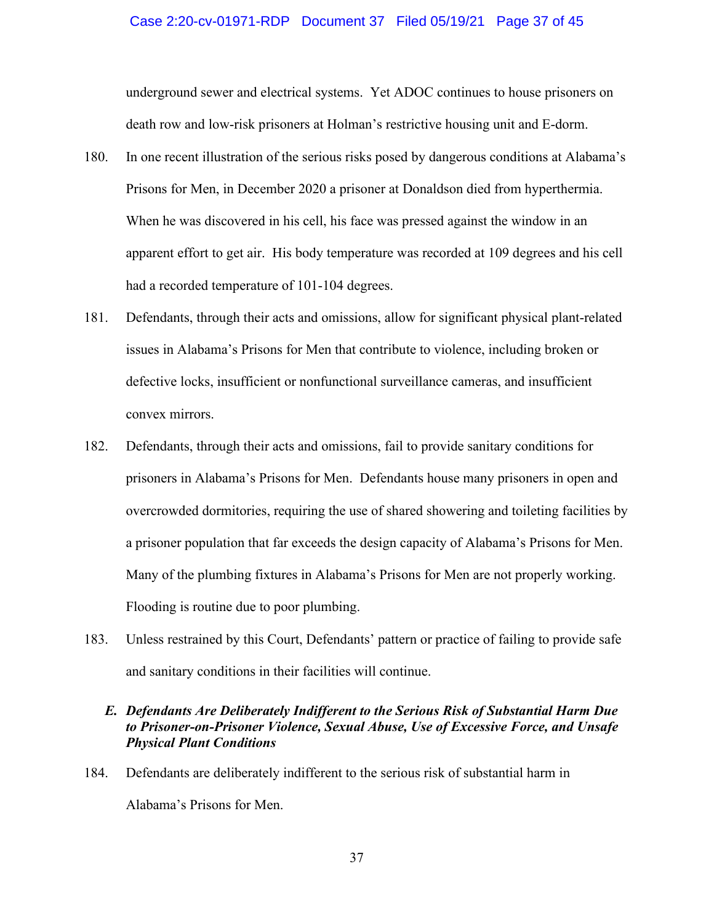#### Case 2:20-cv-01971-RDP Document 37 Filed 05/19/21 Page 37 of 45

underground sewer and electrical systems. Yet ADOC continues to house prisoners on death row and low-risk prisoners at Holman's restrictive housing unit and E-dorm.

- 180. In one recent illustration of the serious risks posed by dangerous conditions at Alabama's Prisons for Men, in December 2020 a prisoner at Donaldson died from hyperthermia. When he was discovered in his cell, his face was pressed against the window in an apparent effort to get air. His body temperature was recorded at 109 degrees and his cell had a recorded temperature of 101-104 degrees.
- 181. Defendants, through their acts and omissions, allow for significant physical plant-related issues in Alabama's Prisons for Men that contribute to violence, including broken or defective locks, insufficient or nonfunctional surveillance cameras, and insufficient convex mirrors.
- 182. Defendants, through their acts and omissions, fail to provide sanitary conditions for prisoners in Alabama's Prisons for Men. Defendants house many prisoners in open and overcrowded dormitories, requiring the use of shared showering and toileting facilities by a prisoner population that far exceeds the design capacity of Alabama's Prisons for Men. Many of the plumbing fixtures in Alabama's Prisons for Men are not properly working. Flooding is routine due to poor plumbing.
- 183. Unless restrained by this Court, Defendants' pattern or practice of failing to provide safe and sanitary conditions in their facilities will continue.

## *E. Defendants Are Deliberately Indifferent to the Serious Risk of Substantial Harm Due to Prisoner-on-Prisoner Violence, Sexual Abuse, Use of Excessive Force, and Unsafe Physical Plant Conditions*

184. Defendants are deliberately indifferent to the serious risk of substantial harm in Alabama's Prisons for Men.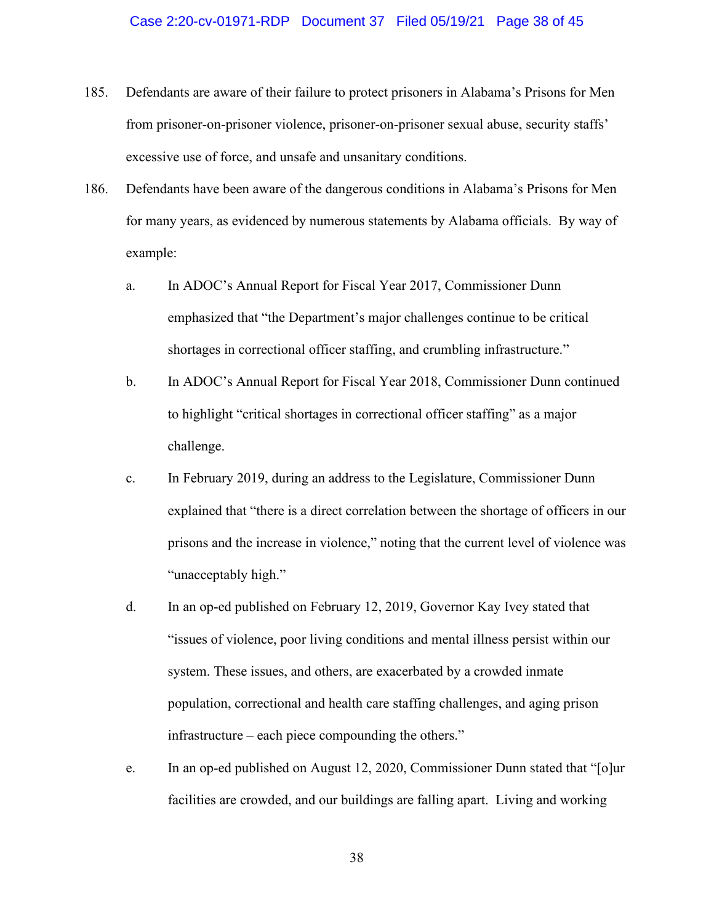- 185. Defendants are aware of their failure to protect prisoners in Alabama's Prisons for Men from prisoner-on-prisoner violence, prisoner-on-prisoner sexual abuse, security staffs' excessive use of force, and unsafe and unsanitary conditions.
- 186. Defendants have been aware of the dangerous conditions in Alabama's Prisons for Men for many years, as evidenced by numerous statements by Alabama officials. By way of example:
	- a. In ADOC's Annual Report for Fiscal Year 2017, Commissioner Dunn emphasized that "the Department's major challenges continue to be critical shortages in correctional officer staffing, and crumbling infrastructure."
	- b. In ADOC's Annual Report for Fiscal Year 2018, Commissioner Dunn continued to highlight "critical shortages in correctional officer staffing" as a major challenge.
	- c. In February 2019, during an address to the Legislature, Commissioner Dunn explained that "there is a direct correlation between the shortage of officers in our prisons and the increase in violence," noting that the current level of violence was "unacceptably high."
	- d. In an op-ed published on February 12, 2019, Governor Kay Ivey stated that "issues of violence, poor living conditions and mental illness persist within our system. These issues, and others, are exacerbated by a crowded inmate population, correctional and health care staffing challenges, and aging prison infrastructure – each piece compounding the others."
	- e. In an op-ed published on August 12, 2020, Commissioner Dunn stated that "[o]ur facilities are crowded, and our buildings are falling apart. Living and working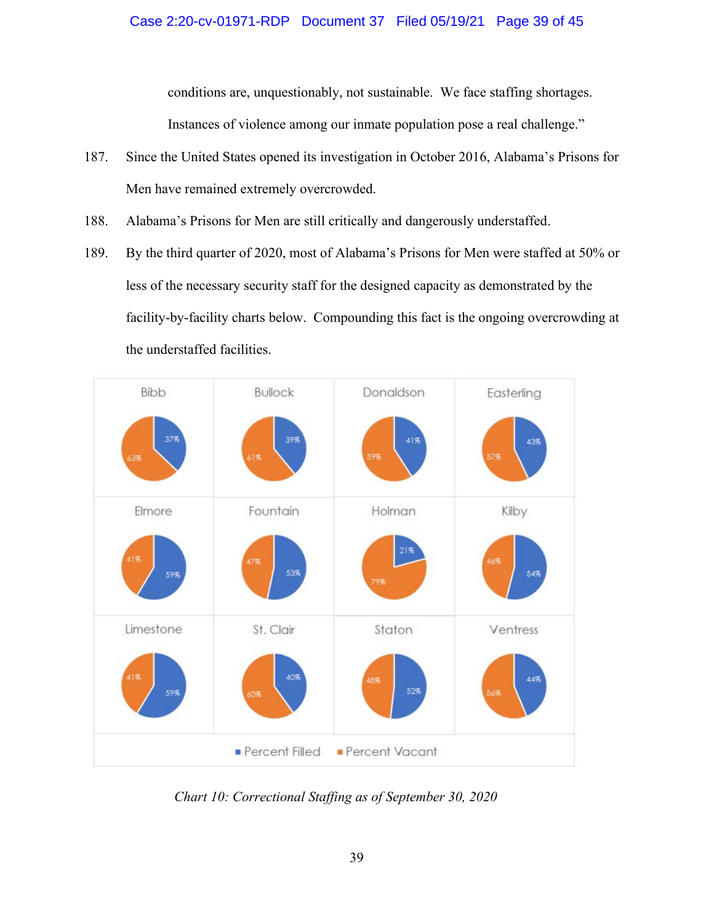conditions are, unquestionably, not sustainable. We face staffing shortages. Instances of violence among our inmate population pose a real challenge."

- 187. Since the United States opened its investigation in October 2016, Alabama's Prisons for Men have remained extremely overcrowded.
- 188. Alabama's Prisons for Men are still critically and dangerously understaffed.
- 189. By the third quarter of 2020, most of Alabama's Prisons for Men were staffed at 50% or less of the necessary security staff for the designed capacity as demonstrated by the facility-by-facility charts below. Compounding this fact is the ongoing overcrowding at the understaffed facilities.



*Chart 10: Correctional Staffing as of September 30, 2020*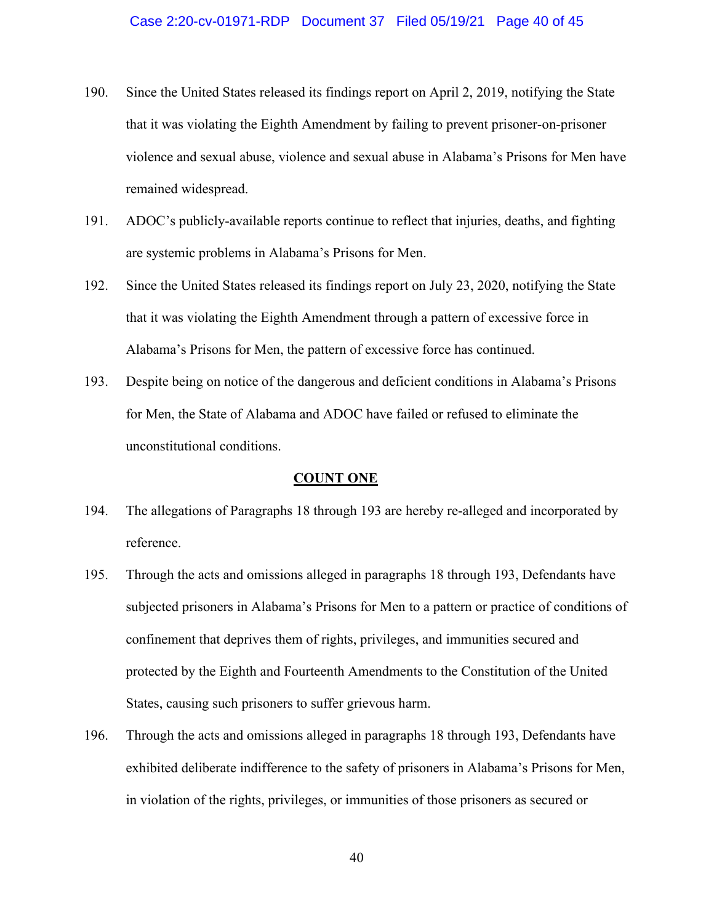- 190. Since the United States released its findings report on April 2, 2019, notifying the State that it was violating the Eighth Amendment by failing to prevent prisoner-on-prisoner violence and sexual abuse, violence and sexual abuse in Alabama's Prisons for Men have remained widespread.
- 191. ADOC's publicly-available reports continue to reflect that injuries, deaths, and fighting are systemic problems in Alabama's Prisons for Men.
- 192. Since the United States released its findings report on July 23, 2020, notifying the State that it was violating the Eighth Amendment through a pattern of excessive force in Alabama's Prisons for Men, the pattern of excessive force has continued.
- 193. Despite being on notice of the dangerous and deficient conditions in Alabama's Prisons for Men, the State of Alabama and ADOC have failed or refused to eliminate the unconstitutional conditions.

#### **COUNT ONE**

- 194. The allegations of Paragraphs 18 through 193 are hereby re-alleged and incorporated by reference.
- 195. Through the acts and omissions alleged in paragraphs 18 through 193, Defendants have subjected prisoners in Alabama's Prisons for Men to a pattern or practice of conditions of confinement that deprives them of rights, privileges, and immunities secured and protected by the Eighth and Fourteenth Amendments to the Constitution of the United States, causing such prisoners to suffer grievous harm.
- 196. Through the acts and omissions alleged in paragraphs 18 through 193, Defendants have exhibited deliberate indifference to the safety of prisoners in Alabama's Prisons for Men, in violation of the rights, privileges, or immunities of those prisoners as secured or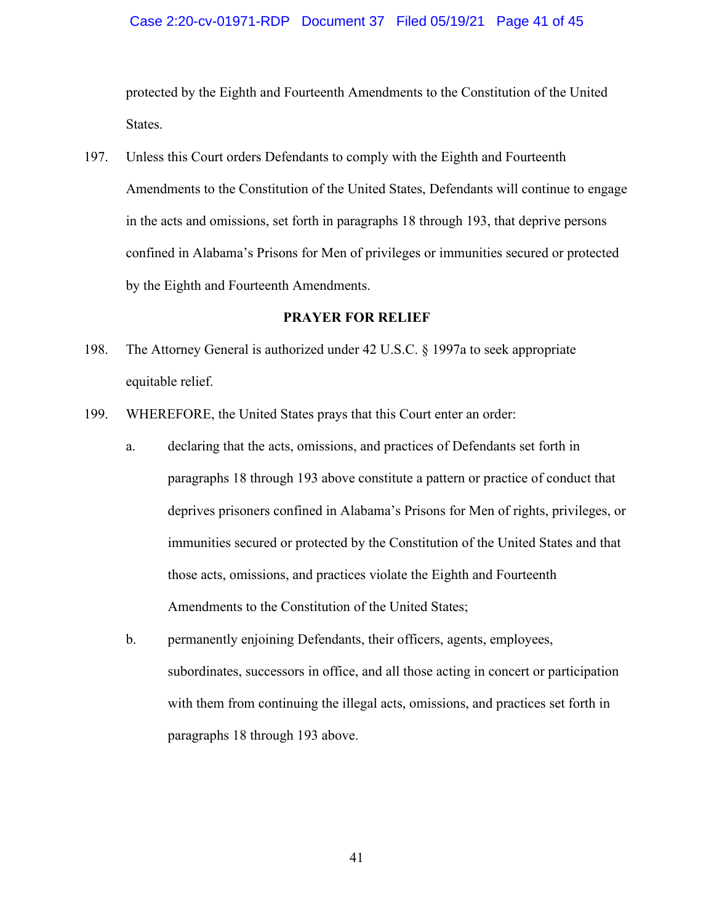#### Case 2:20-cv-01971-RDP Document 37 Filed 05/19/21 Page 41 of 45

protected by the Eighth and Fourteenth Amendments to the Constitution of the United States.

197. Unless this Court orders Defendants to comply with the Eighth and Fourteenth Amendments to the Constitution of the United States, Defendants will continue to engage in the acts and omissions, set forth in paragraphs 18 through 193, that deprive persons confined in Alabama's Prisons for Men of privileges or immunities secured or protected by the Eighth and Fourteenth Amendments.

#### **PRAYER FOR RELIEF**

- 198. The Attorney General is authorized under 42 U.S.C. § 1997a to seek appropriate equitable relief.
- 199. WHEREFORE, the United States prays that this Court enter an order:
	- a. declaring that the acts, omissions, and practices of Defendants set forth in paragraphs 18 through 193 above constitute a pattern or practice of conduct that deprives prisoners confined in Alabama's Prisons for Men of rights, privileges, or immunities secured or protected by the Constitution of the United States and that those acts, omissions, and practices violate the Eighth and Fourteenth Amendments to the Constitution of the United States;
	- b. permanently enjoining Defendants, their officers, agents, employees, subordinates, successors in office, and all those acting in concert or participation with them from continuing the illegal acts, omissions, and practices set forth in paragraphs 18 through 193 above.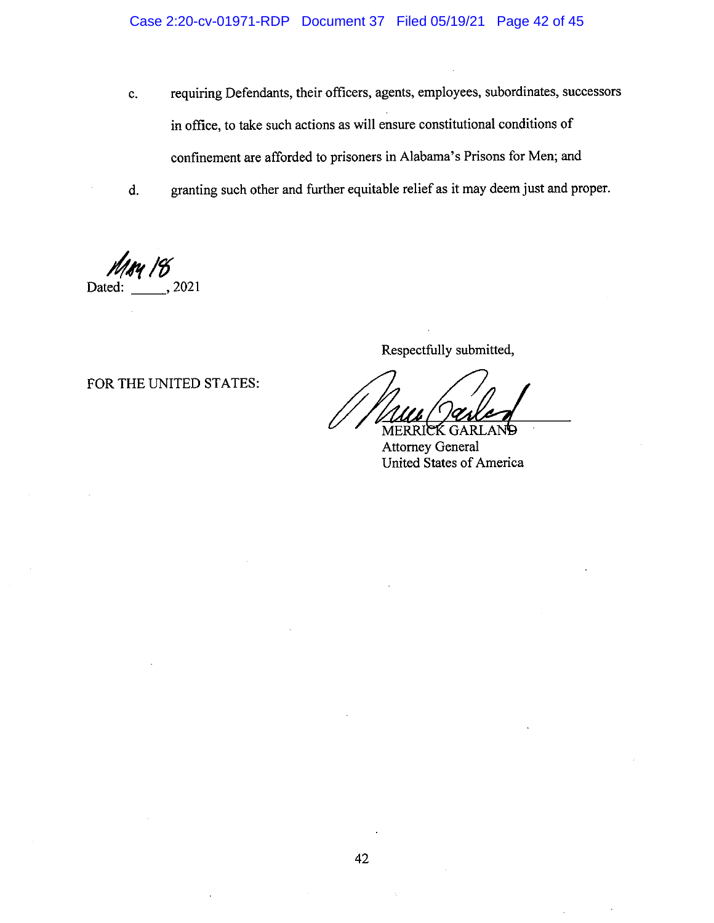- requiring Defendants, their officers, agents, employees, subordinates, successors  $\mathbf{c}$ . in office, to take such actions as will ensure constitutional conditions of confinement are afforded to prisoners in Alabama's Prisons for Men; and
- granting such other and further equitable relief as it may deem just and proper.  $d.$

, 2021 Dated:

FOR THE UNITED STATES:

Respectfully submitted,

**Attorney General** United States of America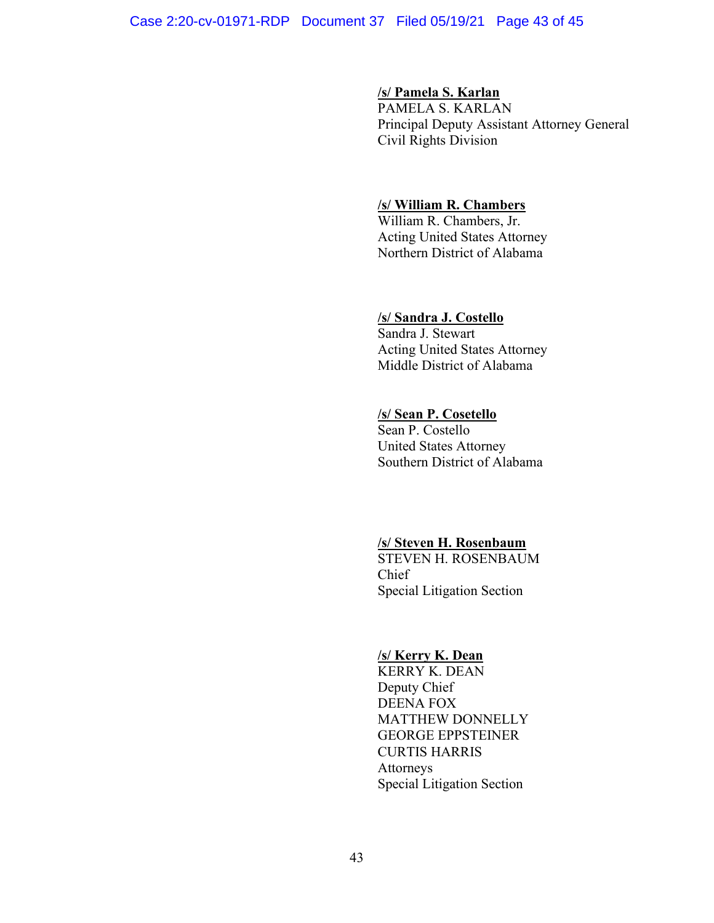#### Case 2:20-cv-01971-RDP Document 37 Filed 05/19/21 Page 43 of 45

## **/s/ Pamela S. Karlan**

PAMELA S. KARLAN Principal Deputy Assistant Attorney General Civil Rights Division

## **/s/ William R. Chambers**

William R. Chambers, Jr. Acting United States Attorney Northern District of Alabama

#### **/s/ Sandra J. Costello**

Sandra J. Stewart Acting United States Attorney Middle District of Alabama

## **/s/ Sean P. Cosetello**

Sean P. Costello United States Attorney Southern District of Alabama

## **/s/ Steven H. Rosenbaum**

STEVEN H. ROSENBAUM Chief Special Litigation Section

## **/s/ Kerry K. Dean**

KERRY K. DEAN Deputy Chief DEENA FOX MATTHEW DONNELLY GEORGE EPPSTEINER CURTIS HARRIS Attorneys Special Litigation Section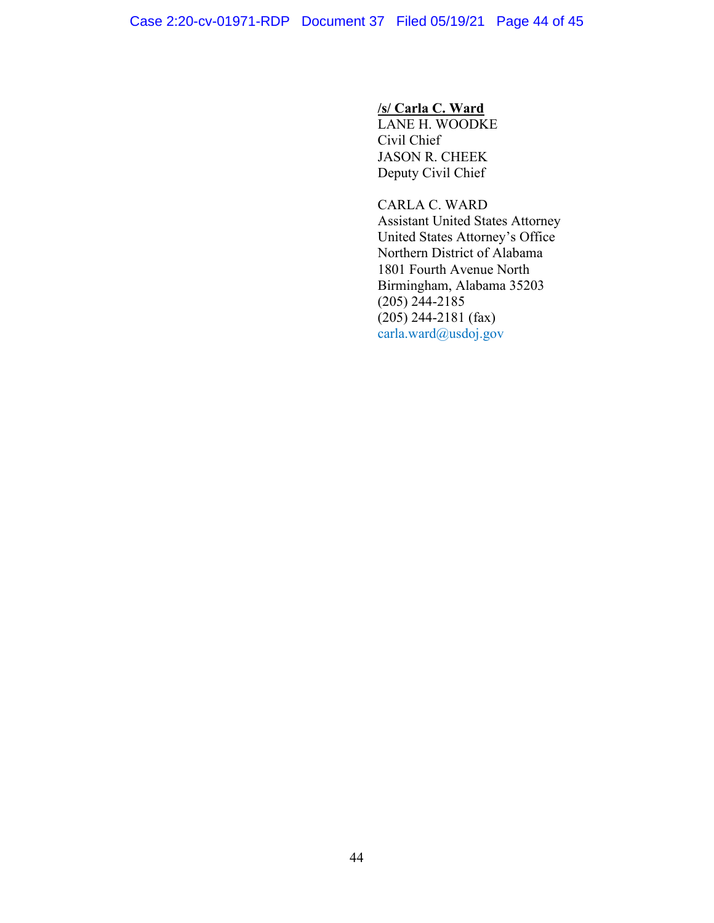# **/s/ Carla C. Ward**

LANE H. WOODKE Civil Chief JASON R. CHEEK Deputy Civil Chief

CARLA C. WARD Assistant United States Attorney United States Attorney's Office Northern District of Alabama 1801 Fourth Avenue North Birmingham, Alabama 35203 (205) 244-2185  $(205)$  244-2181 (fax) carla.ward@usdoj.gov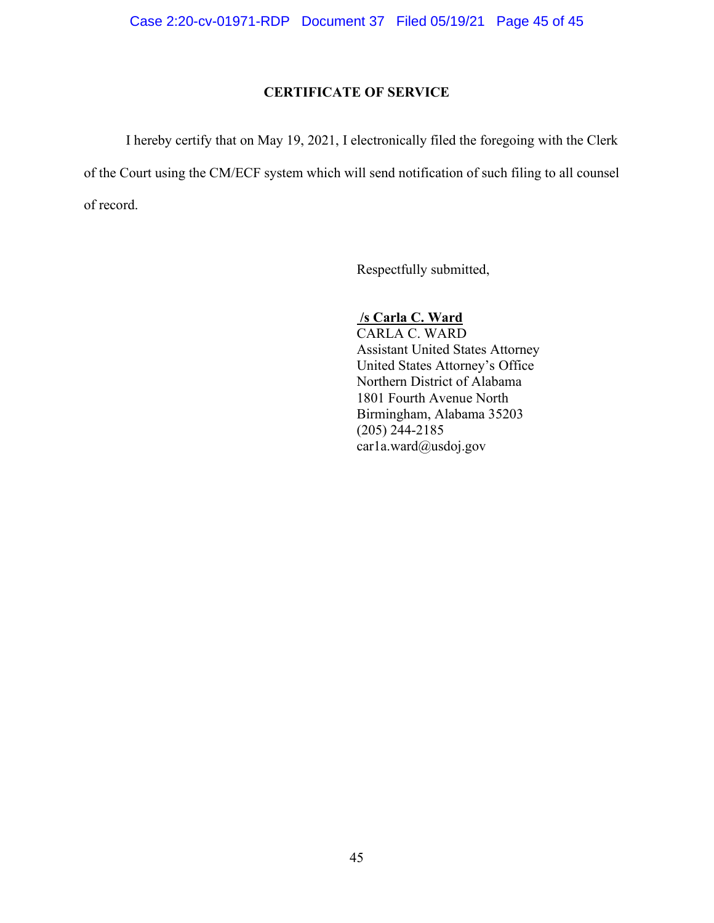## **CERTIFICATE OF SERVICE**

I hereby certify that on May 19, 2021, I electronically filed the foregoing with the Clerk of the Court using the CM/ECF system which will send notification of such filing to all counsel of record.

Respectfully submitted,

# **/s Carla C. Ward**

CARLA C. WARD Assistant United States Attorney United States Attorney's Office Northern District of Alabama 1801 Fourth Avenue North Birmingham, Alabama 35203 (205) 244-2185 car1a.ward@usdoj.gov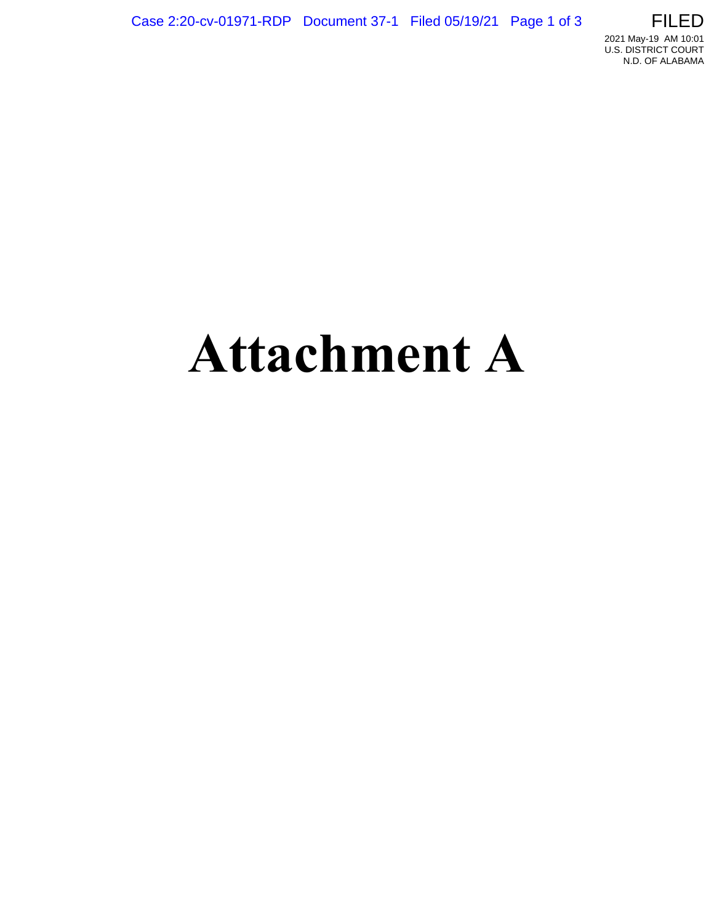

# **Attachment A**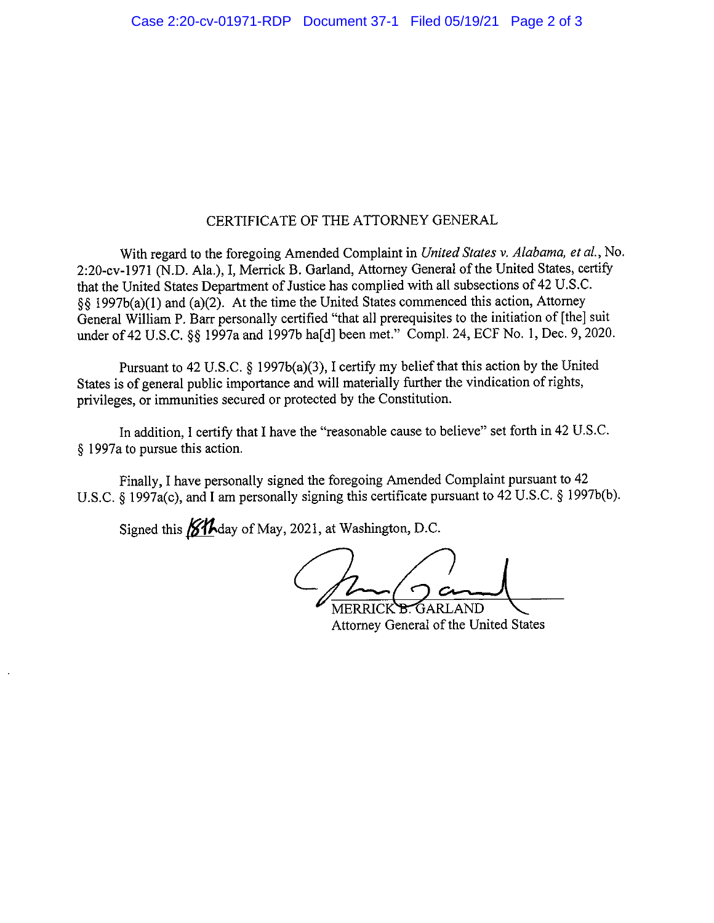## CERTIFICATE OF THE ATTORNEY GENERAL

With regard to the foregoing Amended Complaint in United States v. Alabama, et al., No. 2:20-cv-1971 (N.D. Ala.), I, Merrick B. Garland, Attorney General of the United States, certify that the United States Department of Justice has complied with all subsections of 42 U.S.C.  $\S$  1997b(a)(1) and (a)(2). At the time the United States commenced this action, Attorney General William P. Barr personally certified "that all prerequisites to the initiation of [the] suit under of 42 U.S.C. 88 1997a and 1997b haldl been met." Compl. 24, ECF No. 1, Dec. 9, 2020.

Pursuant to 42 U.S.C. § 1997b(a)(3), I certify my belief that this action by the United States is of general public importance and will materially further the vindication of rights, privileges, or immunities secured or protected by the Constitution.

In addition, I certify that I have the "reasonable cause to believe" set forth in 42 U.S.C. § 1997a to pursue this action.

Finally, I have personally signed the foregoing Amended Complaint pursuant to 42 U.S.C. § 1997a(c), and I am personally signing this certificate pursuant to 42 U.S.C. § 1997b(b).

Signed this **644** day of May, 2021, at Washington, D.C.

MERRICK B GARLAND

Attorney General of the United States